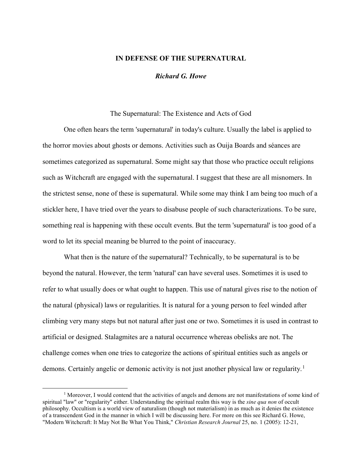## IN DEFENSE OF THE SUPERNATURAL

Richard G. Howe

### The Supernatural: The Existence and Acts of God

One often hears the term 'supernatural' in today's culture. Usually the label is applied to the horror movies about ghosts or demons. Activities such as Ouija Boards and séances are sometimes categorized as supernatural. Some might say that those who practice occult religions such as Witchcraft are engaged with the supernatural. I suggest that these are all misnomers. In the strictest sense, none of these is supernatural. While some may think I am being too much of a stickler here, I have tried over the years to disabuse people of such characterizations. To be sure, something real is happening with these occult events. But the term 'supernatural' is too good of a word to let its special meaning be blurred to the point of inaccuracy.

What then is the nature of the supernatural? Technically, to be supernatural is to be beyond the natural. However, the term 'natural' can have several uses. Sometimes it is used to refer to what usually does or what ought to happen. This use of natural gives rise to the notion of the natural (physical) laws or regularities. It is natural for a young person to feel winded after climbing very many steps but not natural after just one or two. Sometimes it is used in contrast to artificial or designed. Stalagmites are a natural occurrence whereas obelisks are not. The challenge comes when one tries to categorize the actions of spiritual entities such as angels or demons. Certainly angelic or demonic activity is not just another physical law or regularity.<sup>1</sup>

<sup>&</sup>lt;sup>1</sup> Moreover, I would contend that the activities of angels and demons are not manifestations of some kind of spiritual "law" or "regularity" either. Understanding the spiritual realm this way is the *sine qua non* of occult philosophy. Occultism is a world view of naturalism (though not materialism) in as much as it denies the existence of a transcendent God in the manner in which I will be discussing here. For more on this see Richard G. Howe, "Modern Witchcraft: It May Not Be What You Think," Christian Research Journal 25, no. 1 (2005): 12-21,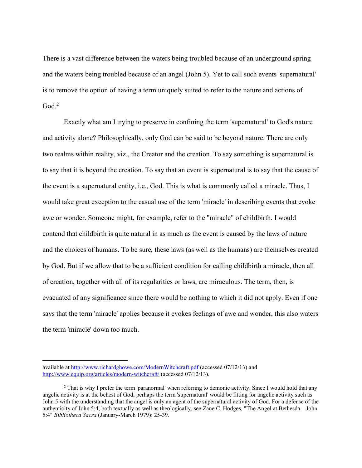There is a vast difference between the waters being troubled because of an underground spring and the waters being troubled because of an angel (John 5). Yet to call such events 'supernatural' is to remove the option of having a term uniquely suited to refer to the nature and actions of  $God.<sup>2</sup>$ 

Exactly what am I trying to preserve in confining the term 'supernatural' to God's nature and activity alone? Philosophically, only God can be said to be beyond nature. There are only two realms within reality, viz., the Creator and the creation. To say something is supernatural is to say that it is beyond the creation. To say that an event is supernatural is to say that the cause of the event is a supernatural entity, i.e., God. This is what is commonly called a miracle. Thus, I would take great exception to the casual use of the term 'miracle' in describing events that evoke awe or wonder. Someone might, for example, refer to the "miracle" of childbirth. I would contend that childbirth is quite natural in as much as the event is caused by the laws of nature and the choices of humans. To be sure, these laws (as well as the humans) are themselves created by God. But if we allow that to be a sufficient condition for calling childbirth a miracle, then all of creation, together with all of its regularities or laws, are miraculous. The term, then, is evacuated of any significance since there would be nothing to which it did not apply. Even if one says that the term 'miracle' applies because it evokes feelings of awe and wonder, this also waters the term 'miracle' down too much.

available at http://www.richardghowe.com/ModernWitchcraft.pdf (accessed 07/12/13) and http://www.equip.org/articles/modern-witchcraft/ (accessed 07/12/13).

<sup>&</sup>lt;sup>2</sup> That is why I prefer the term 'paranormal' when referring to demonic activity. Since I would hold that any angelic activity is at the behest of God, perhaps the term 'supernatural' would be fitting for angelic activity such as John 5 with the understanding that the angel is only an agent of the supernatural activity of God. For a defense of the authenticity of John 5:4, both textually as well as theologically, see Zane C. Hodges, "The Angel at Bethesda—John 5:4" Bibliotheca Sacra (January-March 1979): 25-39.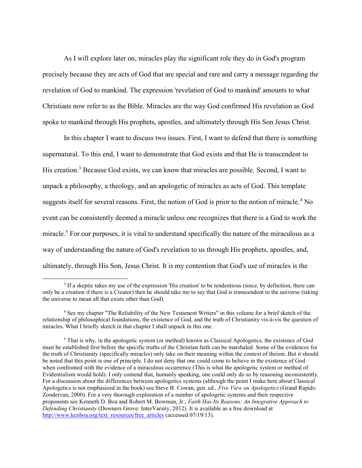As I will explore later on, miracles play the significant role they do in God's program precisely because they are acts of God that are special and rare and carry a message regarding the revelation of God to mankind. The expression 'revelation of God to mankind' amounts to what Christians now refer to as the Bible. Miracles are the way God confirmed His revelation as God spoke to mankind through His prophets, apostles, and ultimately through His Son Jesus Christ.

In this chapter I want to discuss two issues. First, I want to defend that there is something supernatural. To this end, I want to demonstrate that God exists and that He is transcendent to His creation.<sup>3</sup> Because God exists, we can know that miracles are possible. Second, I want to unpack a philosophy, a theology, and an apologetic of miracles as acts of God. This template suggests itself for several reasons. First, the notion of God is prior to the notion of miracle.<sup>4</sup> No event can be consistently deemed a miracle unless one recognizes that there is a God to work the miracle.<sup>5</sup> For our purposes, it is vital to understand specifically the nature of the miraculous as a way of understanding the nature of God's revelation to us through His prophets, apostles, and, ultimately, through His Son, Jesus Christ. It is my contention that God's use of miracles is the

<sup>&</sup>lt;sup>3</sup> If a skeptic takes my use of the expression 'His creation' to be tendentious (since, by definition, there can only be a creation if there is a Creator) then he should take me to say that God is transcendent to the universe (taking the universe to mean all that exists other than God).

<sup>4</sup> See my chapter "The Reliability of the New Testament Writers" in this volume for a brief sketch of the relationship of philosophical foundations, the existence of God, and the truth of Christianity vis-à-vis the question of miracles. What I briefly sketch in that chapter I shall unpack in this one.

<sup>&</sup>lt;sup>5</sup> That is why, in the apologetic system (or method) known as Classical Apologetics, the existence of God must be established first before the specific truths of the Christian faith can be marshaled. Some of the evidences for the truth of Christianity (specifically miracles) only take on their meaning within the context of theism. But it should be noted that this point is one of principle. I do not deny that one could come to believe in the existence of God when confronted with the evidence of a miraculous occurrence (This is what the apologetic system or method of Evidentialism would hold). I only contend that, humanly speaking, one could only do so by reasoning inconsistently. For a discussion about the differences between apologetics systems (although the point I make here about Classical Apologetics is not emphasized in the book) see Steve B. Cowan, gen. ed., Five View on Apologetics (Grand Rapids: Zondervan, 2000). For a very thorough exploration of a number of apologetic systems and their respective proponents see Kenneth D. Boa and Robert M. Bowman, Jr., Faith Has Its Reasons: An Integrative Approach to Defending Christianity (Downers Grove: InterVarsity, 2012). It is available as a free download at http://www.kenboa.org/text\_resources/free\_articles (accessed 07/19/13).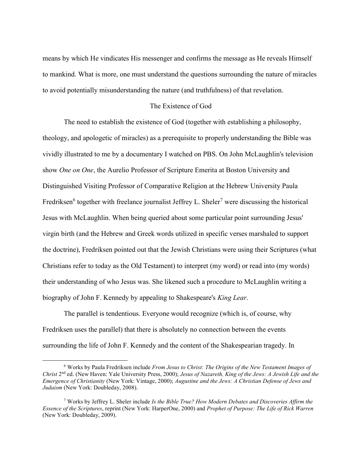means by which He vindicates His messenger and confirms the message as He reveals Himself to mankind. What is more, one must understand the questions surrounding the nature of miracles to avoid potentially misunderstanding the nature (and truthfulness) of that revelation.

### The Existence of God

The need to establish the existence of God (together with establishing a philosophy, theology, and apologetic of miracles) as a prerequisite to properly understanding the Bible was vividly illustrated to me by a documentary I watched on PBS. On John McLaughlin's television show *One on One*, the Aurelio Professor of Scripture Emerita at Boston University and Distinguished Visiting Professor of Comparative Religion at the Hebrew University Paula Fredriksen<sup>6</sup> together with freelance journalist Jeffrey L. Sheler<sup>7</sup> were discussing the historical Jesus with McLaughlin. When being queried about some particular point surrounding Jesus' virgin birth (and the Hebrew and Greek words utilized in specific verses marshaled to support the doctrine), Fredriksen pointed out that the Jewish Christians were using their Scriptures (what Christians refer to today as the Old Testament) to interpret (my word) or read into (my words) their understanding of who Jesus was. She likened such a procedure to McLaughlin writing a biography of John F. Kennedy by appealing to Shakespeare's *King Lear*.

The parallel is tendentious. Everyone would recognize (which is, of course, why Fredriksen uses the parallel) that there is absolutely no connection between the events surrounding the life of John F. Kennedy and the content of the Shakespearian tragedy. In

<sup>&</sup>lt;sup>6</sup> Works by Paula Fredriksen include From Jesus to Christ: The Origins of the New Testament Images of Christ 2<sup>nd</sup> ed. (New Haven: Yale University Press, 2000); Jesus of Nazareth, King of the Jews: A Jewish Life and the Emergence of Christianity (New York: Vintage, 2000); Augustine and the Jews: A Christian Defense of Jews and Judaism (New York: Doubleday, 2008).

<sup>&</sup>lt;sup>7</sup> Works by Jeffrey L. Sheler include Is the Bible True? How Modern Debates and Discoveries Affirm the Essence of the Scriptures, reprint (New York: HarperOne, 2000) and Prophet of Purpose: The Life of Rick Warren (New York: Doubleday, 2009).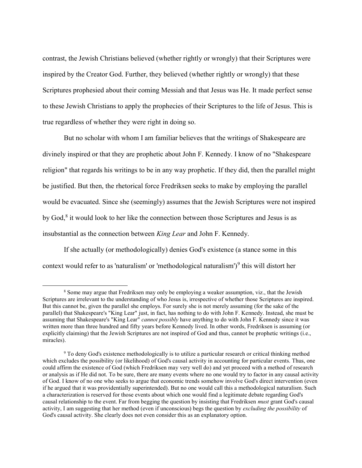contrast, the Jewish Christians believed (whether rightly or wrongly) that their Scriptures were inspired by the Creator God. Further, they believed (whether rightly or wrongly) that these Scriptures prophesied about their coming Messiah and that Jesus was He. It made perfect sense to these Jewish Christians to apply the prophecies of their Scriptures to the life of Jesus. This is true regardless of whether they were right in doing so.

But no scholar with whom I am familiar believes that the writings of Shakespeare are divinely inspired or that they are prophetic about John F. Kennedy. I know of no "Shakespeare religion" that regards his writings to be in any way prophetic. If they did, then the parallel might be justified. But then, the rhetorical force Fredriksen seeks to make by employing the parallel would be evacuated. Since she (seemingly) assumes that the Jewish Scriptures were not inspired by God,<sup>8</sup> it would look to her like the connection between those Scriptures and Jesus is as insubstantial as the connection between King Lear and John F. Kennedy.

If she actually (or methodologically) denies God's existence (a stance some in this context would refer to as 'naturalism' or 'methodological naturalism')<sup>9</sup> this will distort her

<sup>&</sup>lt;sup>8</sup> Some may argue that Fredriksen may only be employing a weaker assumption, viz., that the Jewish Scriptures are irrelevant to the understanding of who Jesus is, irrespective of whether those Scriptures are inspired. But this cannot be, given the parallel she employs. For surely she is not merely assuming (for the sake of the parallel) that Shakespeare's "King Lear" just, in fact, has nothing to do with John F. Kennedy. Instead, she must be assuming that Shakespeare's "King Lear" cannot possibly have anything to do with John F. Kennedy since it was written more than three hundred and fifty years before Kennedy lived. In other words, Fredriksen is assuming (or explicitly claiming) that the Jewish Scriptures are not inspired of God and thus, cannot be prophetic writings (i.e., miracles).

<sup>&</sup>lt;sup>9</sup> To deny God's existence methodologically is to utilize a particular research or critical thinking method which excludes the possibility (or likelihood) of God's causal activity in accounting for particular events. Thus, one could affirm the existence of God (which Fredriksen may very well do) and yet proceed with a method of research or analysis as if He did not. To be sure, there are many events where no one would try to factor in any causal activity of God. I know of no one who seeks to argue that economic trends somehow involve God's direct intervention (even if he argued that it was providentially superintended). But no one would call this a methodological naturalism. Such a characterization is reserved for those events about which one would find a legitimate debate regarding God's causal relationship to the event. Far from begging the question by insisting that Fredriksen *must* grant God's causal activity, I am suggesting that her method (even if unconscious) begs the question by excluding the possibility of God's causal activity. She clearly does not even consider this as an explanatory option.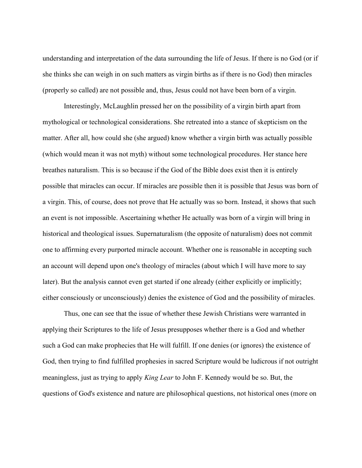understanding and interpretation of the data surrounding the life of Jesus. If there is no God (or if she thinks she can weigh in on such matters as virgin births as if there is no God) then miracles (properly so called) are not possible and, thus, Jesus could not have been born of a virgin.

Interestingly, McLaughlin pressed her on the possibility of a virgin birth apart from mythological or technological considerations. She retreated into a stance of skepticism on the matter. After all, how could she (she argued) know whether a virgin birth was actually possible (which would mean it was not myth) without some technological procedures. Her stance here breathes naturalism. This is so because if the God of the Bible does exist then it is entirely possible that miracles can occur. If miracles are possible then it is possible that Jesus was born of a virgin. This, of course, does not prove that He actually was so born. Instead, it shows that such an event is not impossible. Ascertaining whether He actually was born of a virgin will bring in historical and theological issues. Supernaturalism (the opposite of naturalism) does not commit one to affirming every purported miracle account. Whether one is reasonable in accepting such an account will depend upon one's theology of miracles (about which I will have more to say later). But the analysis cannot even get started if one already (either explicitly or implicitly; either consciously or unconsciously) denies the existence of God and the possibility of miracles.

Thus, one can see that the issue of whether these Jewish Christians were warranted in applying their Scriptures to the life of Jesus presupposes whether there is a God and whether such a God can make prophecies that He will fulfill. If one denies (or ignores) the existence of God, then trying to find fulfilled prophesies in sacred Scripture would be ludicrous if not outright meaningless, just as trying to apply *King Lear* to John F. Kennedy would be so. But, the questions of God's existence and nature are philosophical questions, not historical ones (more on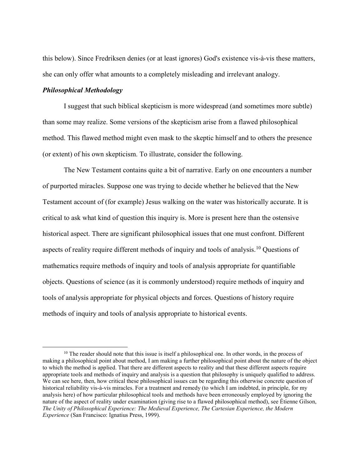this below). Since Fredriksen denies (or at least ignores) God's existence vis-à-vis these matters, she can only offer what amounts to a completely misleading and irrelevant analogy.

#### Philosophical Methodology

 $\overline{a}$ 

I suggest that such biblical skepticism is more widespread (and sometimes more subtle) than some may realize. Some versions of the skepticism arise from a flawed philosophical method. This flawed method might even mask to the skeptic himself and to others the presence (or extent) of his own skepticism. To illustrate, consider the following.

The New Testament contains quite a bit of narrative. Early on one encounters a number of purported miracles. Suppose one was trying to decide whether he believed that the New Testament account of (for example) Jesus walking on the water was historically accurate. It is critical to ask what kind of question this inquiry is. More is present here than the ostensive historical aspect. There are significant philosophical issues that one must confront. Different aspects of reality require different methods of inquiry and tools of analysis.<sup>10</sup> Questions of mathematics require methods of inquiry and tools of analysis appropriate for quantifiable objects. Questions of science (as it is commonly understood) require methods of inquiry and tools of analysis appropriate for physical objects and forces. Questions of history require methods of inquiry and tools of analysis appropriate to historical events.

 $10$  The reader should note that this issue is itself a philosophical one. In other words, in the process of making a philosophical point about method, I am making a further philosophical point about the nature of the object to which the method is applied. That there are different aspects to reality and that these different aspects require appropriate tools and methods of inquiry and analysis is a question that philosophy is uniquely qualified to address. We can see here, then, how critical these philosophical issues can be regarding this otherwise concrete question of historical reliability vis-à-vis miracles. For a treatment and remedy (to which I am indebted, in principle, for my analysis here) of how particular philosophical tools and methods have been erroneously employed by ignoring the nature of the aspect of reality under examination (giving rise to a flawed philosophical method), see Étienne Gilson, The Unity of Philosophical Experience: The Medieval Experience, The Cartesian Experience, the Modern Experience (San Francisco: Ignatius Press, 1999).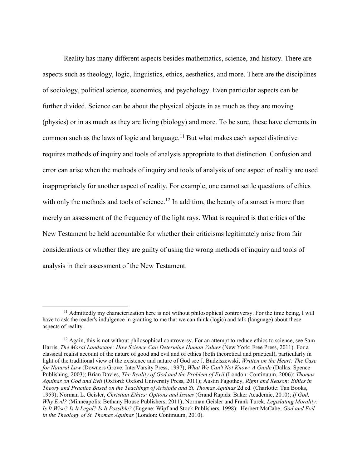Reality has many different aspects besides mathematics, science, and history. There are aspects such as theology, logic, linguistics, ethics, aesthetics, and more. There are the disciplines of sociology, political science, economics, and psychology. Even particular aspects can be further divided. Science can be about the physical objects in as much as they are moving (physics) or in as much as they are living (biology) and more. To be sure, these have elements in common such as the laws of logic and language.<sup>11</sup> But what makes each aspect distinctive requires methods of inquiry and tools of analysis appropriate to that distinction. Confusion and error can arise when the methods of inquiry and tools of analysis of one aspect of reality are used inappropriately for another aspect of reality. For example, one cannot settle questions of ethics with only the methods and tools of science.<sup>12</sup> In addition, the beauty of a sunset is more than merely an assessment of the frequency of the light rays. What is required is that critics of the New Testament be held accountable for whether their criticisms legitimately arise from fair considerations or whether they are guilty of using the wrong methods of inquiry and tools of analysis in their assessment of the New Testament.

<sup>11</sup> Admittedly my characterization here is not without philosophical controversy. For the time being, I will have to ask the reader's indulgence in granting to me that we can think (logic) and talk (language) about these aspects of reality.

 $12$  Again, this is not without philosophical controversy. For an attempt to reduce ethics to science, see Sam Harris, The Moral Landscape: How Science Can Determine Human Values (New York: Free Press, 2011). For a classical realist account of the nature of good and evil and of ethics (both theoretical and practical), particularly in light of the traditional view of the existence and nature of God see J. Budziszewski, Written on the Heart: The Case for Natural Law (Downers Grove: InterVarsity Press, 1997); What We Can't Not Know: A Guide (Dallas: Spence Publishing, 2003); Brian Davies, The Reality of God and the Problem of Evil (London: Continuum, 2006); Thomas Aquinas on God and Evil (Oxford: Oxford University Press, 2011); Austin Fagothey, Right and Reason: Ethics in Theory and Practice Based on the Teachings of Aristotle and St. Thomas Aquinas 2d ed. (Charlotte: Tan Books, 1959); Norman L. Geisler, Christian Ethics: Options and Issues (Grand Rapids: Baker Academic, 2010); If God, Why Evil? (Minneapolis: Bethany House Publishers, 2011); Norman Geisler and Frank Turek, Legislating Morality: Is It Wise? Is It Legal? Is It Possible? (Eugene: Wipf and Stock Publishers, 1998): Herbert McCabe, God and Evil in the Theology of St. Thomas Aquinas (London: Continuum, 2010).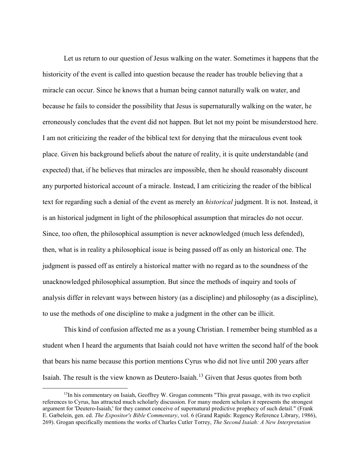Let us return to our question of Jesus walking on the water. Sometimes it happens that the historicity of the event is called into question because the reader has trouble believing that a miracle can occur. Since he knows that a human being cannot naturally walk on water, and because he fails to consider the possibility that Jesus is supernaturally walking on the water, he erroneously concludes that the event did not happen. But let not my point be misunderstood here. I am not criticizing the reader of the biblical text for denying that the miraculous event took place. Given his background beliefs about the nature of reality, it is quite understandable (and expected) that, if he believes that miracles are impossible, then he should reasonably discount any purported historical account of a miracle. Instead, I am criticizing the reader of the biblical text for regarding such a denial of the event as merely an historical judgment. It is not. Instead, it is an historical judgment in light of the philosophical assumption that miracles do not occur. Since, too often, the philosophical assumption is never acknowledged (much less defended), then, what is in reality a philosophical issue is being passed off as only an historical one. The judgment is passed off as entirely a historical matter with no regard as to the soundness of the unacknowledged philosophical assumption. But since the methods of inquiry and tools of analysis differ in relevant ways between history (as a discipline) and philosophy (as a discipline), to use the methods of one discipline to make a judgment in the other can be illicit.

This kind of confusion affected me as a young Christian. I remember being stumbled as a student when I heard the arguments that Isaiah could not have written the second half of the book that bears his name because this portion mentions Cyrus who did not live until 200 years after Isaiah. The result is the view known as Deutero-Isaiah.<sup>13</sup> Given that Jesus quotes from both

 $<sup>13</sup>$ In his commentary on Isaiah, Geoffrey W. Grogan comments "This great passage, with its two explicit</sup> references to Cyrus, has attracted much scholarly discussion. For many modern scholars it represents the strongest argument for 'Deutero-Isaiah,' for they cannot conceive of supernatural predictive prophecy of such detail." (Frank E. Gæbelein, gen. ed. The Expositor's Bible Commentary, vol. 6 (Grand Rapids: Regency Reference Library, 1986), 269). Grogan specifically mentions the works of Charles Cutler Torrey, The Second Isaiah: A New Interpretation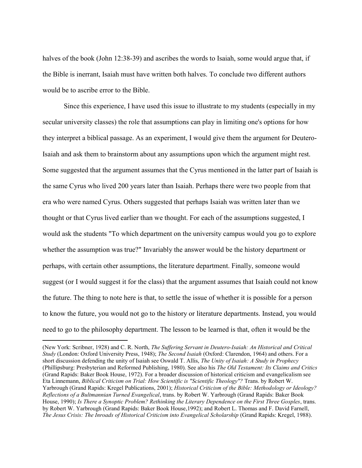halves of the book (John 12:38-39) and ascribes the words to Isaiah, some would argue that, if the Bible is inerrant, Isaiah must have written both halves. To conclude two different authors would be to ascribe error to the Bible.

Since this experience, I have used this issue to illustrate to my students (especially in my secular university classes) the role that assumptions can play in limiting one's options for how they interpret a biblical passage. As an experiment, I would give them the argument for Deutero-Isaiah and ask them to brainstorm about any assumptions upon which the argument might rest. Some suggested that the argument assumes that the Cyrus mentioned in the latter part of Isaiah is the same Cyrus who lived 200 years later than Isaiah. Perhaps there were two people from that era who were named Cyrus. Others suggested that perhaps Isaiah was written later than we thought or that Cyrus lived earlier than we thought. For each of the assumptions suggested, I would ask the students "To which department on the university campus would you go to explore whether the assumption was true?" Invariably the answer would be the history department or perhaps, with certain other assumptions, the literature department. Finally, someone would suggest (or I would suggest it for the class) that the argument assumes that Isaiah could not know the future. The thing to note here is that, to settle the issue of whether it is possible for a person to know the future, you would not go to the history or literature departments. Instead, you would need to go to the philosophy department. The lesson to be learned is that, often it would be the

<sup>(</sup>New York: Scribner, 1928) and C. R. North, The Suffering Servant in Deutero-Isaiah: An Historical and Critical Study (London: Oxford University Press, 1948); The Second Isaiah (Oxford: Clarendon, 1964) and others. For a short discussion defending the unity of Isaiah see Oswald T. Allis, The Unity of Isaiah: A Study in Prophecy (Phillipsburg: Presbyterian and Reformed Publishing, 1980). See also his The Old Testament: Its Claims and Critics (Grand Rapids: Baker Book House, 1972). For a broader discussion of historical criticism and evangelicalism see Eta Linnemann, Biblical Criticism on Trial: How Scientific is "Scientific Theology"? Trans. by Robert W. Yarbrough (Grand Rapids: Kregel Publications, 2001); Historical Criticism of the Bible: Methodology or Ideology? Reflections of a Bultmannian Turned Evangelical, trans. by Robert W. Yarbrough (Grand Rapids: Baker Book House, 1990); Is There a Synoptic Problem? Rethinking the Literary Dependence on the First Three Gosples, trans. by Robert W. Yarbrough (Grand Rapids: Baker Book House,1992); and Robert L. Thomas and F. David Farnell, The Jesus Crisis: The Inroads of Historical Criticism into Evangelical Scholarship (Grand Rapids: Kregel, 1988).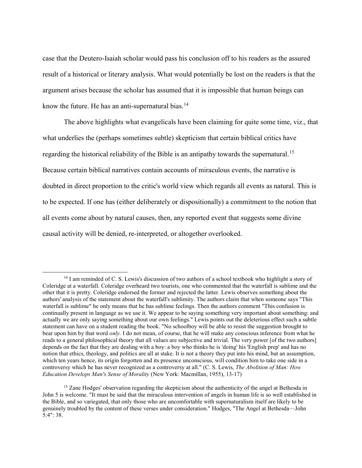case that the Deutero-Isaiah scholar would pass his conclusion off to his readers as the assured result of a historical or literary analysis. What would potentially be lost on the readers is that the argument arises because the scholar has assumed that it is impossible that human beings can know the future. He has an anti-supernatural bias. $<sup>14</sup>$ </sup>

The above highlights what evangelicals have been claiming for quite some time, viz., that what underlies the (perhaps sometimes subtle) skepticism that certain biblical critics have regarding the historical reliability of the Bible is an antipathy towards the supernatural.<sup>15</sup> Because certain biblical narratives contain accounts of miraculous events, the narrative is doubted in direct proportion to the critic's world view which regards all events as natural. This is to be expected. If one has (either deliberately or dispositionally) a commitment to the notion that all events come about by natural causes, then, any reported event that suggests some divine causal activity will be denied, re-interpreted, or altogether overlooked.

 $14$  I am reminded of C. S. Lewis's discussion of two authors of a school textbook who highlight a story of Coleridge at a waterfall. Coleridge overheard two tourists, one who commented that the waterfall is sublime and the other that it is pretty. Coleridge endorsed the former and rejected the latter. Lewis observes something about the authors' analysis of the statement about the waterfall's sublimity. The authors claim that when someone says "This waterfall is sublime" he only means that he has sublime feelings. Then the authors comment "This confusion is continually present in language as we use it. We appear to be saying something very important about something: and actually we are only saying something about our own feelings." Lewis points out the deleterious effect such a subtle statement can have on a student reading the book. "No schoolboy will be able to resist the suggestion brought to bear upon him by that word *only*. I do not mean, of course, that he will make any conscious inference from what he reads to a general philosophical theory that all values are subjective and trivial. The very power [of the two authors] depends on the fact that they are dealing with a boy: a boy who thinks he is 'doing' his 'English prep' and has no notion that ethics, theology, and politics are all at stake. It is not a theory they put into his mind, but an assumption, which ten years hence, its origin forgotten and its presence unconscious, will condition him to take one side in a controversy which he has never recognized as a controversy at all." (C. S. Lewis, The Abolition of Man: How Education Develops Man's Sense of Morality (New York: Macmillan, 1955), 13-17)

<sup>&</sup>lt;sup>15</sup> Zane Hodges' observation regarding the skepticism about the authenticity of the angel at Bethesda in John 5 is welcome. "It must be said that the miraculous intervention of angels in human life is so well established in the Bible, and so variegated, that only those who are uncomfortable with supernaturalism itself are likely to be genuinely troubled by the content of these verses under consideration." Hodges, "The Angel at Bethesda—John 5:4": 38.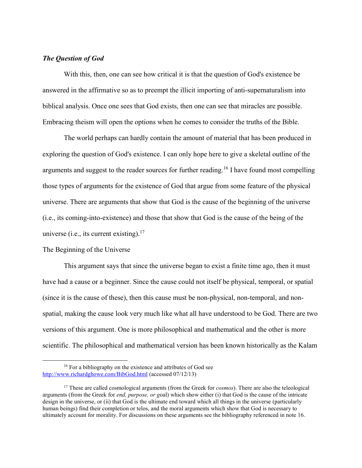# The Question of God

With this, then, one can see how critical it is that the question of God's existence be answered in the affirmative so as to preempt the illicit importing of anti-supernaturalism into biblical analysis. Once one sees that God exists, then one can see that miracles are possible. Embracing theism will open the options when he comes to consider the truths of the Bible.

The world perhaps can hardly contain the amount of material that has been produced in exploring the question of God's existence. I can only hope here to give a skeletal outline of the arguments and suggest to the reader sources for further reading.<sup>16</sup> I have found most compelling those types of arguments for the existence of God that argue from some feature of the physical universe. There are arguments that show that God is the cause of the beginning of the universe (i.e., its coming-into-existence) and those that show that God is the cause of the being of the universe (i.e., its current existing).<sup>17</sup>

## The Beginning of the Universe

 $\overline{a}$ 

This argument says that since the universe began to exist a finite time ago, then it must have had a cause or a beginner. Since the cause could not itself be physical, temporal, or spatial (since it is the cause of these), then this cause must be non-physical, non-temporal, and nonspatial, making the cause look very much like what all have understood to be God. There are two versions of this argument. One is more philosophical and mathematical and the other is more scientific. The philosophical and mathematical version has been known historically as the Kalam

<sup>&</sup>lt;sup>16</sup> For a bibliography on the existence and attributes of God see http://www.richardghowe.com/BibGod.html (accessed 07/12/13)

<sup>&</sup>lt;sup>17</sup> These are called cosmological arguments (from the Greek for *cosmos*). There are also the teleological arguments (from the Greek for end, purpose, or goal) which show either (i) that God is the cause of the intricate design in the universe, or (ii) that God is the ultimate end toward which all things in the universe (particularly human beings) find their completion or telos, and the moral arguments which show that God is necessary to ultimately account for morality. For discussions on these arguments see the bibliography referenced in note 16.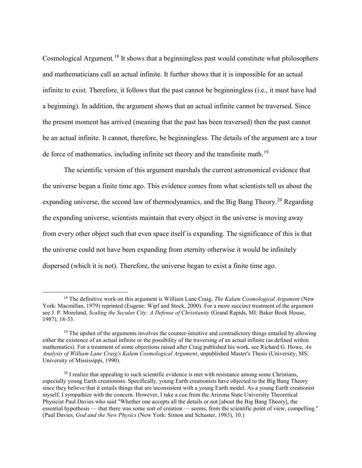Cosmological Argument.<sup>18</sup> It shows that a beginningless past would constitute what philosophers and mathematicians call an actual infinite. It further shows that it is impossible for an actual infinite to exist. Therefore, it follows that the past cannot be beginningless (i.e., it must have had a beginning). In addition, the argument shows that an actual infinite cannot be traversed. Since the present moment has arrived (meaning that the past has been traversed) then the past cannot be an actual infinite. It cannot, therefore, be beginningless. The details of the argument are a tour de force of mathematics, including infinite set theory and the transfinite math.<sup>19</sup>

The scientific version of this argument marshals the current astronomical evidence that the universe began a finite time ago. This evidence comes from what scientists tell us about the expanding universe, the second law of thermodynamics, and the Big Bang Theory.<sup>20</sup> Regarding the expanding universe, scientists maintain that every object in the universe is moving away from every other object such that even space itself is expanding. The significance of this is that the universe could not have been expanding from eternity otherwise it would be infinitely dispersed (which it is not). Therefore, the universe began to exist a finite time ago.

 $18$  The definitive work on this argument is William Lane Craig, *The Kalam Cosmological Argument* (New York: Macmillan, 1979) reprinted (Eugene: Wipf and Stock, 2000). For a more succinct treatment of the argument see J. P. Moreland, Scaling the Secular City: A Defense of Christianity (Grand Rapids, MI: Baker Book House, 1987), 18-33.

 $19$  The upshot of the arguments involves the counter-intuitive and contradictory things entailed by allowing either the existence of an actual infinite or the possibility of the traversing of an actual infinite (as defined within mathematics). For a treatment of some objections raised after Craig published his work, see Richard G. Howe, An Analysis of William Lane Craig's Kalam Cosmological Argument, unpublished Master's Thesis (University, MS: University of Mississippi, 1990).

 $20$  I realize that appealing to such scientific evidence is met with resistance among some Christians, especially young Earth creationists. Specifically, young Earth creationists have objected to the Big Bang Theory since they believe that it entails things that are inconsistent with a young Earth model. As a young Earth creationist myself, I sympathize with the concern. However, I take a cue from the Arizona State University Theoretical Physicist Paul Davies who said "Whether one accepts all the details or not [about the Big Bang Theory], the essential hypothesis — that there was some sort of creation — seems, from the scientific point of view, compelling." (Paul Davies, God and the New Physics (New York: Simon and Schuster, 1983), 10.)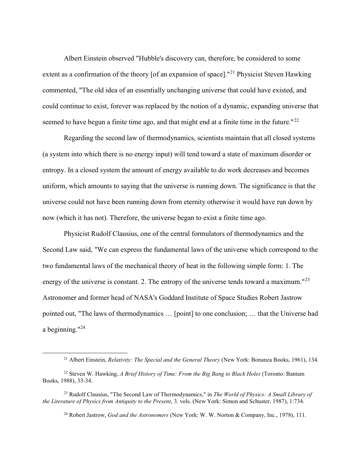Albert Einstein observed "Hubble's discovery can, therefore, be considered to some extent as a confirmation of the theory [of an expansion of space]."<sup>21</sup> Physicist Steven Hawking commented, "The old idea of an essentially unchanging universe that could have existed, and could continue to exist, forever was replaced by the notion of a dynamic, expanding universe that seemed to have begun a finite time ago, and that might end at a finite time in the future." $^{22}$ 

Regarding the second law of thermodynamics, scientists maintain that all closed systems (a system into which there is no energy input) will tend toward a state of maximum disorder or entropy. In a closed system the amount of energy available to do work decreases and becomes uniform, which amounts to saying that the universe is running down. The significance is that the universe could not have been running down from eternity otherwise it would have run down by now (which it has not). Therefore, the universe began to exist a finite time ago.

Physicist Rudolf Clausius, one of the central formulators of thermodynamics and the Second Law said, "We can express the fundamental laws of the universe which correspond to the two fundamental laws of the mechanical theory of heat in the following simple form: 1. The energy of the universe is constant. 2. The entropy of the universe tends toward a maximum."<sup>23</sup> Astronomer and former head of NASA's Goddard Institute of Space Studies Robert Jastrow pointed out, "The laws of thermodynamics … [point] to one conclusion; … that the Universe had a beginning." $^{24}$ 

<sup>&</sup>lt;sup>21</sup> Albert Einstein, *Relativity: The Special and the General Theory* (New York: Bonanza Books, 1961), 134.

<sup>&</sup>lt;sup>22</sup> Steven W. Hawking, A Brief History of Time: From the Big Bang to Black Holes (Toronto: Bantam Books, 1988), 33-34.

<sup>&</sup>lt;sup>23</sup> Rudolf Clausius, "The Second Law of Thermodynamics," in *The World of Physics: A Small Library of* the Literature of Physics from Antiquity to the Present, 3. vols. (New York: Simon and Schuster, 1987), 1:734.

<sup>&</sup>lt;sup>24</sup> Robert Jastrow, *God and the Astronomers* (New York: W. W. Norton & Company, Inc., 1978), 111.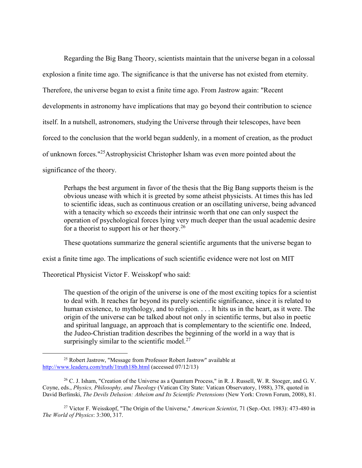Regarding the Big Bang Theory, scientists maintain that the universe began in a colossal explosion a finite time ago. The significance is that the universe has not existed from eternity. Therefore, the universe began to exist a finite time ago. From Jastrow again: "Recent developments in astronomy have implications that may go beyond their contribution to science itself. In a nutshell, astronomers, studying the Universe through their telescopes, have been forced to the conclusion that the world began suddenly, in a moment of creation, as the product of unknown forces."<sup>25</sup>Astrophysicist Christopher Isham was even more pointed about the significance of the theory.

Perhaps the best argument in favor of the thesis that the Big Bang supports theism is the obvious unease with which it is greeted by some atheist physicists. At times this has led to scientific ideas, such as continuous creation or an oscillating universe, being advanced with a tenacity which so exceeds their intrinsic worth that one can only suspect the operation of psychological forces lying very much deeper than the usual academic desire for a theorist to support his or her theory.<sup>26</sup>

These quotations summarize the general scientific arguments that the universe began to

exist a finite time ago. The implications of such scientific evidence were not lost on MIT

Theoretical Physicist Victor F. Weisskopf who said:

 $\overline{a}$ 

The question of the origin of the universe is one of the most exciting topics for a scientist to deal with. It reaches far beyond its purely scientific significance, since it is related to human existence, to mythology, and to religion. . . . It hits us in the heart, as it were. The origin of the universe can be talked about not only in scientific terms, but also in poetic and spiritual language, an approach that is complementary to the scientific one. Indeed, the Judeo-Christian tradition describes the beginning of the world in a way that is surprisingly similar to the scientific model. $27$ 

<sup>27</sup> Victor F. Weisskopf, "The Origin of the Universe," American Scientist, 71 (Sep.-Oct. 1983): 473-480 in The World of Physics: 3:300, 317.

<sup>25</sup> Robert Jastrow, "Message from Professor Robert Jastrow" available at http://www.leaderu.com/truth/1truth18b.html (accessed 07/12/13)

 $26$  C. J. Isham, "Creation of the Universe as a Quantum Process," in R. J. Russell, W. R. Stoeger, and G. V. Coyne, eds., Physics, Philosophy, and Theology (Vatican City State: Vatican Observatory, 1988), 378, quoted in David Berlinski, The Devils Delusion: Atheism and Its Scientific Pretensions (New York: Crown Forum, 2008), 81.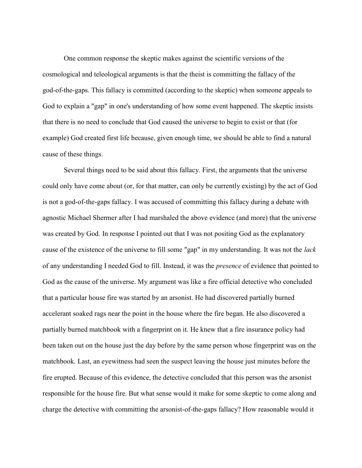One common response the skeptic makes against the scientific versions of the cosmological and teleological arguments is that the theist is committing the fallacy of the god-of-the-gaps. This fallacy is committed (according to the skeptic) when someone appeals to God to explain a "gap" in one's understanding of how some event happened. The skeptic insists that there is no need to conclude that God caused the universe to begin to exist or that (for example) God created first life because, given enough time, we should be able to find a natural cause of these things.

Several things need to be said about this fallacy. First, the arguments that the universe could only have come about (or, for that matter, can only be currently existing) by the act of God is not a god-of-the-gaps fallacy. I was accused of committing this fallacy during a debate with agnostic Michael Shermer after I had marshaled the above evidence (and more) that the universe was created by God. In response I pointed out that I was not positing God as the explanatory cause of the existence of the universe to fill some "gap" in my understanding. It was not the lack of any understanding I needed God to fill. Instead, it was the presence of evidence that pointed to God as the cause of the universe. My argument was like a fire official detective who concluded that a particular house fire was started by an arsonist. He had discovered partially burned accelerant soaked rags near the point in the house where the fire began. He also discovered a partially burned matchbook with a fingerprint on it. He knew that a fire insurance policy had been taken out on the house just the day before by the same person whose fingerprint was on the matchbook. Last, an eyewitness had seen the suspect leaving the house just minutes before the fire erupted. Because of this evidence, the detective concluded that this person was the arsonist responsible for the house fire. But what sense would it make for some skeptic to come along and charge the detective with committing the arsonist-of-the-gaps fallacy? How reasonable would it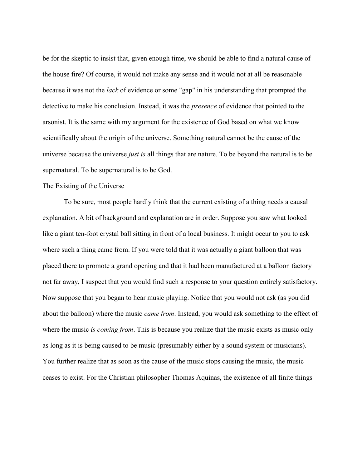be for the skeptic to insist that, given enough time, we should be able to find a natural cause of the house fire? Of course, it would not make any sense and it would not at all be reasonable because it was not the *lack* of evidence or some "gap" in his understanding that prompted the detective to make his conclusion. Instead, it was the presence of evidence that pointed to the arsonist. It is the same with my argument for the existence of God based on what we know scientifically about the origin of the universe. Something natural cannot be the cause of the universe because the universe *just is* all things that are nature. To be beyond the natural is to be supernatural. To be supernatural is to be God.

### The Existing of the Universe

To be sure, most people hardly think that the current existing of a thing needs a causal explanation. A bit of background and explanation are in order. Suppose you saw what looked like a giant ten-foot crystal ball sitting in front of a local business. It might occur to you to ask where such a thing came from. If you were told that it was actually a giant balloon that was placed there to promote a grand opening and that it had been manufactured at a balloon factory not far away, I suspect that you would find such a response to your question entirely satisfactory. Now suppose that you began to hear music playing. Notice that you would not ask (as you did about the balloon) where the music *came from*. Instead, you would ask something to the effect of where the music is coming from. This is because you realize that the music exists as music only as long as it is being caused to be music (presumably either by a sound system or musicians). You further realize that as soon as the cause of the music stops causing the music, the music ceases to exist. For the Christian philosopher Thomas Aquinas, the existence of all finite things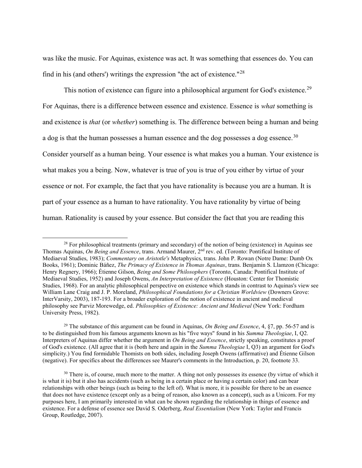was like the music. For Aquinas, existence was act. It was something that essences do. You can find in his (and others') writings the expression "the act of existence."<sup>28</sup>

This notion of existence can figure into a philosophical argument for God's existence.<sup>29</sup> For Aquinas, there is a difference between essence and existence. Essence is *what* something is and existence is *that* (or *whether*) something is. The difference between being a human and being a dog is that the human possesses a human essence and the dog possesses a dog essence.<sup>30</sup> Consider yourself as a human being. Your essence is what makes you a human. Your existence is what makes you a being. Now, whatever is true of you is true of you either by virtue of your essence or not. For example, the fact that you have rationality is because you are a human. It is part of your essence as a human to have rationality. You have rationality by virtue of being human. Rationality is caused by your essence. But consider the fact that you are reading this

 $^{28}$  For philosophical treatments (primary and secondary) of the notion of being (existence) in Aquinas see Thomas Aquinas, On Being and Essence, trans. Armand Maurer, 2<sup>nd</sup> rev. ed. (Toronto: Pontifical Institute of Mediaeval Studies, 1983); Commentary on Aristotle's Metaphysics, trans. John P. Rowan (Notre Dame: Dumb Ox Books, 1961); Dominic Báñez, The Primacy of Existence in Thomas Aquinas, trans. Benjamin S. Llamzon (Chicago: Henry Regnery, 1966); Étienne Gilson, *Being and Some Philosophers* (Toronto, Canada: Pontifical Institute of Mediaeval Studies, 1952) and Joseph Owens, An Interpretation of Existence (Houston: Center for Thomistic Studies, 1968). For an analytic philosophical perspective on existence which stands in contrast to Aquinas's view see William Lane Craig and J. P. Moreland, *Philosophical Foundations for a Christian Worldview* (Downers Grove: InterVarsity, 2003), 187-193. For a broader exploration of the notion of existence in ancient and medieval philosophy see Parviz Morewedge, ed. Philosophies of Existence: Ancient and Medieval (New York: Fordham University Press, 1982).

<sup>&</sup>lt;sup>29</sup> The substance of this argument can be found in Aquinas, *On Being and Essence*, 4,  $\S7$ , pp. 56-57 and is to be distinguished from his famous arguments known as his "five ways" found in his Summa Theologiae, I, Q2. Interpreters of Aquinas differ whether the argument in On Being and Essence, strictly speaking, constitutes a proof of God's existence. (All agree that it is (both here and again in the Summa Theologiae I, Q3) an argument for God's simplicity.) You find formidable Thomists on both sides, including Joseph Owens (affirmative) and Étienne Gilson (negative). For specifics about the differences see Maurer's comments in the Introduction, p. 20, footnote 33.

 $30$  There is, of course, much more to the matter. A thing not only possesses its essence (by virtue of which it is what it is) but it also has accidents (such as being in a certain place or having a certain color) and can bear relationships with other beings (such as being to the left of). What is more, it is possible for there to be an essence that does not have existence (except only as a being of reason, also known as a concept), such as a Unicorn. For my purposes here, I am primarily interested in what can be shown regarding the relationship in things of essence and existence. For a defense of essence see David S. Oderberg, Real Essentialism (New York: Taylor and Francis Group, Routledge, 2007).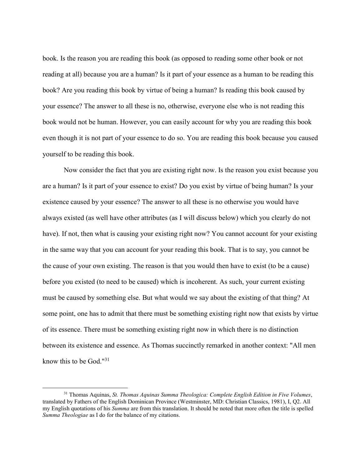book. Is the reason you are reading this book (as opposed to reading some other book or not reading at all) because you are a human? Is it part of your essence as a human to be reading this book? Are you reading this book by virtue of being a human? Is reading this book caused by your essence? The answer to all these is no, otherwise, everyone else who is not reading this book would not be human. However, you can easily account for why you are reading this book even though it is not part of your essence to do so. You are reading this book because you caused yourself to be reading this book.

Now consider the fact that you are existing right now. Is the reason you exist because you are a human? Is it part of your essence to exist? Do you exist by virtue of being human? Is your existence caused by your essence? The answer to all these is no otherwise you would have always existed (as well have other attributes (as I will discuss below) which you clearly do not have). If not, then what is causing your existing right now? You cannot account for your existing in the same way that you can account for your reading this book. That is to say, you cannot be the cause of your own existing. The reason is that you would then have to exist (to be a cause) before you existed (to need to be caused) which is incoherent. As such, your current existing must be caused by something else. But what would we say about the existing of that thing? At some point, one has to admit that there must be something existing right now that exists by virtue of its essence. There must be something existing right now in which there is no distinction between its existence and essence. As Thomas succinctly remarked in another context: "All men know this to be God." $31$ 

 $31$  Thomas Aquinas, St. Thomas Aquinas Summa Theologica: Complete English Edition in Five Volumes, translated by Fathers of the English Dominican Province (Westminster, MD: Christian Classics, 1981), I, Q2. All my English quotations of his Summa are from this translation. It should be noted that more often the title is spelled Summa Theologiae as I do for the balance of my citations.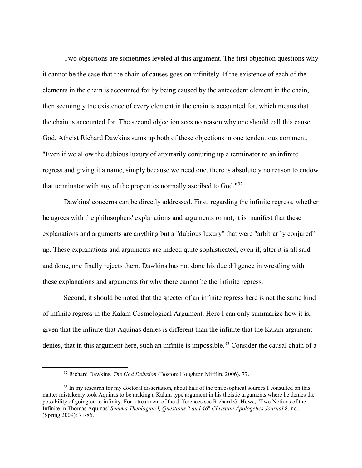Two objections are sometimes leveled at this argument. The first objection questions why it cannot be the case that the chain of causes goes on infinitely. If the existence of each of the elements in the chain is accounted for by being caused by the antecedent element in the chain, then seemingly the existence of every element in the chain is accounted for, which means that the chain is accounted for. The second objection sees no reason why one should call this cause God. Atheist Richard Dawkins sums up both of these objections in one tendentious comment. "Even if we allow the dubious luxury of arbitrarily conjuring up a terminator to an infinite regress and giving it a name, simply because we need one, there is absolutely no reason to endow that terminator with any of the properties normally ascribed to God." $32$ 

Dawkins' concerns can be directly addressed. First, regarding the infinite regress, whether he agrees with the philosophers' explanations and arguments or not, it is manifest that these explanations and arguments are anything but a "dubious luxury" that were "arbitrarily conjured" up. These explanations and arguments are indeed quite sophisticated, even if, after it is all said and done, one finally rejects them. Dawkins has not done his due diligence in wrestling with these explanations and arguments for why there cannot be the infinite regress.

Second, it should be noted that the specter of an infinite regress here is not the same kind of infinite regress in the Kalam Cosmological Argument. Here I can only summarize how it is, given that the infinite that Aquinas denies is different than the infinite that the Kalam argument denies, that in this argument here, such an infinite is impossible.<sup>33</sup> Consider the causal chain of a

<sup>&</sup>lt;sup>32</sup> Richard Dawkins, *The God Delusion* (Boston: Houghton Mifflin, 2006), 77.

<sup>&</sup>lt;sup>33</sup> In my research for my doctoral dissertation, about half of the philosophical sources I consulted on this matter mistakenly took Aquinas to be making a Kalam type argument in his theistic arguments where he denies the possibility of going on to infinity. For a treatment of the differences see Richard G. Howe, "Two Notions of the Infinite in Thomas Aquinas' Summa Theologiae I, Questions 2 and 46" Christian Apologetics Journal 8, no. 1 (Spring 2009): 71-86.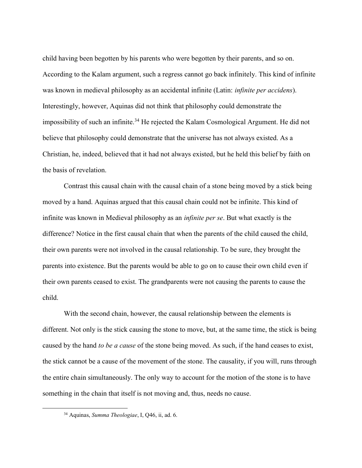child having been begotten by his parents who were begotten by their parents, and so on. According to the Kalam argument, such a regress cannot go back infinitely. This kind of infinite was known in medieval philosophy as an accidental infinite (Latin: *infinite per accidens*). Interestingly, however, Aquinas did not think that philosophy could demonstrate the impossibility of such an infinite.<sup>34</sup> He rejected the Kalam Cosmological Argument. He did not believe that philosophy could demonstrate that the universe has not always existed. As a Christian, he, indeed, believed that it had not always existed, but he held this belief by faith on the basis of revelation.

Contrast this causal chain with the causal chain of a stone being moved by a stick being moved by a hand. Aquinas argued that this causal chain could not be infinite. This kind of infinite was known in Medieval philosophy as an infinite per se. But what exactly is the difference? Notice in the first causal chain that when the parents of the child caused the child, their own parents were not involved in the causal relationship. To be sure, they brought the parents into existence. But the parents would be able to go on to cause their own child even if their own parents ceased to exist. The grandparents were not causing the parents to cause the child.

With the second chain, however, the causal relationship between the elements is different. Not only is the stick causing the stone to move, but, at the same time, the stick is being caused by the hand to be a cause of the stone being moved. As such, if the hand ceases to exist, the stick cannot be a cause of the movement of the stone. The causality, if you will, runs through the entire chain simultaneously. The only way to account for the motion of the stone is to have something in the chain that itself is not moving and, thus, needs no cause.

<sup>34</sup> Aquinas, Summa Theologiae, I, Q46, ii, ad. 6.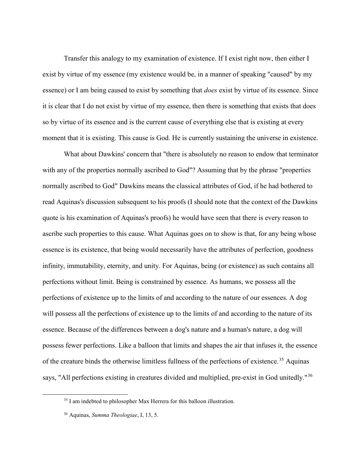Transfer this analogy to my examination of existence. If I exist right now, then either I exist by virtue of my essence (my existence would be, in a manner of speaking "caused" by my essence) or I am being caused to exist by something that *does* exist by virtue of its essence. Since it is clear that I do not exist by virtue of my essence, then there is something that exists that does so by virtue of its essence and is the current cause of everything else that is existing at every moment that it is existing. This cause is God. He is currently sustaining the universe in existence.

What about Dawkins' concern that "there is absolutely no reason to endow that terminator with any of the properties normally ascribed to God"? Assuming that by the phrase "properties normally ascribed to God" Dawkins means the classical attributes of God, if he had bothered to read Aquinas's discussion subsequent to his proofs (I should note that the context of the Dawkins quote is his examination of Aquinas's proofs) he would have seen that there is every reason to ascribe such properties to this cause. What Aquinas goes on to show is that, for any being whose essence is its existence, that being would necessarily have the attributes of perfection, goodness infinity, immutability, eternity, and unity. For Aquinas, being (or existence) as such contains all perfections without limit. Being is constrained by essence. As humans, we possess all the perfections of existence up to the limits of and according to the nature of our essences. A dog will possess all the perfections of existence up to the limits of and according to the nature of its essence. Because of the differences between a dog's nature and a human's nature, a dog will possess fewer perfections. Like a balloon that limits and shapes the air that infuses it, the essence of the creature binds the otherwise limitless fullness of the perfections of existence.<sup>35</sup> Aquinas says, "All perfections existing in creatures divided and multiplied, pre-exist in God unitedly."<sup>36</sup>

<sup>&</sup>lt;sup>35</sup> I am indebted to philosopher Max Herrera for this balloon illustration.

<sup>36</sup> Aquinas, Summa Theologiae, I, 13, 5.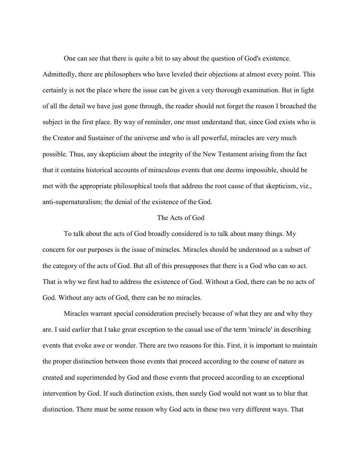One can see that there is quite a bit to say about the question of God's existence.

Admittedly, there are philosophers who have leveled their objections at almost every point. This certainly is not the place where the issue can be given a very thorough examination. But in light of all the detail we have just gone through, the reader should not forget the reason I broached the subject in the first place. By way of reminder, one must understand that, since God exists who is the Creator and Sustainer of the universe and who is all powerful, miracles are very much possible. Thus, any skepticism about the integrity of the New Testament arising from the fact that it contains historical accounts of miraculous events that one deems impossible, should be met with the appropriate philosophical tools that address the root cause of that skepticism, viz., anti-supernaturalism; the denial of the existence of the God.

## The Acts of God

To talk about the acts of God broadly considered is to talk about many things. My concern for our purposes is the issue of miracles. Miracles should be understood as a subset of the category of the acts of God. But all of this presupposes that there is a God who can so act. That is why we first had to address the existence of God. Without a God, there can be no acts of God. Without any acts of God, there can be no miracles.

Miracles warrant special consideration precisely because of what they are and why they are. I said earlier that I take great exception to the casual use of the term 'miracle' in describing events that evoke awe or wonder. There are two reasons for this. First, it is important to maintain the proper distinction between those events that proceed according to the course of nature as created and superintended by God and those events that proceed according to an exceptional intervention by God. If such distinction exists, then surely God would not want us to blur that distinction. There must be some reason why God acts in these two very different ways. That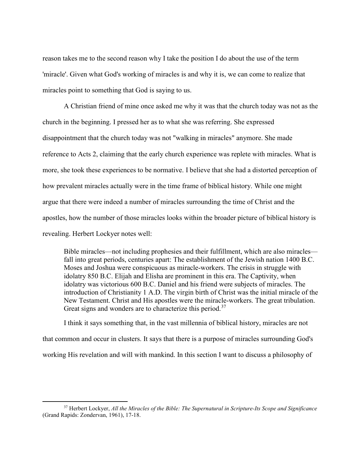reason takes me to the second reason why I take the position I do about the use of the term 'miracle'. Given what God's working of miracles is and why it is, we can come to realize that miracles point to something that God is saying to us.

A Christian friend of mine once asked me why it was that the church today was not as the church in the beginning. I pressed her as to what she was referring. She expressed disappointment that the church today was not "walking in miracles" anymore. She made reference to Acts 2, claiming that the early church experience was replete with miracles. What is more, she took these experiences to be normative. I believe that she had a distorted perception of how prevalent miracles actually were in the time frame of biblical history. While one might argue that there were indeed a number of miracles surrounding the time of Christ and the apostles, how the number of those miracles looks within the broader picture of biblical history is revealing. Herbert Lockyer notes well:

Bible miracles—not including prophesies and their fulfillment, which are also miracles fall into great periods, centuries apart: The establishment of the Jewish nation 1400 B.C. Moses and Joshua were conspicuous as miracle-workers. The crisis in struggle with idolatry 850 B.C. Elijah and Elisha are prominent in this era. The Captivity, when idolatry was victorious 600 B.C. Daniel and his friend were subjects of miracles. The introduction of Christianity 1 A.D. The virgin birth of Christ was the initial miracle of the New Testament. Christ and His apostles were the miracle-workers. The great tribulation. Great signs and wonders are to characterize this period.<sup>37</sup>

I think it says something that, in the vast millennia of biblical history, miracles are not that common and occur in clusters. It says that there is a purpose of miracles surrounding God's working His revelation and will with mankind. In this section I want to discuss a philosophy of

 $37$  Herbert Lockyer, All the Miracles of the Bible: The Supernatural in Scripture-Its Scope and Significance (Grand Rapids: Zondervan, 1961), 17-18.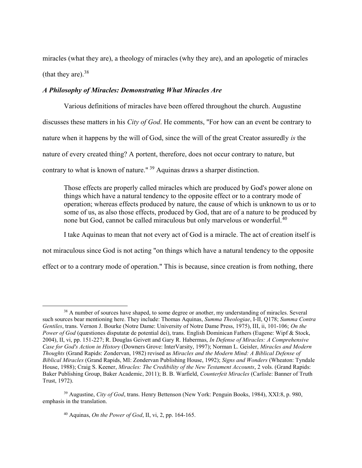miracles (what they are), a theology of miracles (why they are), and an apologetic of miracles (that they are).  $38$ 

## A Philosophy of Miracles: Demonstrating What Miracles Are

Various definitions of miracles have been offered throughout the church. Augustine discusses these matters in his *City of God*. He comments, "For how can an event be contrary to nature when it happens by the will of God, since the will of the great Creator assuredly is the nature of every created thing? A portent, therefore, does not occur contrary to nature, but contrary to what is known of nature."<sup>39</sup> Aquinas draws a sharper distinction.

Those effects are properly called miracles which are produced by God's power alone on things which have a natural tendency to the opposite effect or to a contrary mode of operation; whereas effects produced by nature, the cause of which is unknown to us or to some of us, as also those effects, produced by God, that are of a nature to be produced by none but God, cannot be called miraculous but only marvelous or wonderful.<sup>40</sup>

I take Aquinas to mean that not every act of God is a miracle. The act of creation itself is

not miraculous since God is not acting "on things which have a natural tendency to the opposite

effect or to a contrary mode of operation." This is because, since creation is from nothing, there

<sup>&</sup>lt;sup>38</sup> A number of sources have shaped, to some degree or another, my understanding of miracles. Several such sources bear mentioning here. They include: Thomas Aquinas, Summa Theologiae, I-II, Q178; Summa Contra Gentiles, trans. Vernon J. Bourke (Notre Dame: University of Notre Dame Press, 1975), III, ii, 101-106; On the Power of God (quæstiones disputatæ de potential dei), trans. English Dominican Fathers (Eugene: Wipf & Stock, 2004), II, vi, pp. 151-227; R. Douglas Geivett and Gary R. Habermas, In Defense of Miracles: A Comprehensive Case for God's Action in History (Downers Grove: InterVarsity, 1997); Norman L. Geisler, Miracles and Modern Thoughts (Grand Rapids: Zondervan, 1982) revised as Miracles and the Modern Mind: A Biblical Defense of Biblical Miracles (Grand Rapids, MI: Zondervan Publishing House, 1992); Signs and Wonders (Wheaton: Tyndale House, 1988); Craig S. Keener, Miracles: The Credibility of the New Testament Accounts, 2 vols. (Grand Rapids: Baker Publishing Group, Baker Academic, 2011); B. B. Warfield, Counterfeit Miracles (Carlisle: Banner of Truth Trust, 1972).

<sup>39</sup> Augustine, City of God, trans. Henry Bettenson (New York: Penguin Books, 1984), XXI:8, p. 980, emphasis in the translation.

 $40$  Aquinas, *On the Power of God*, II, vi, 2, pp. 164-165.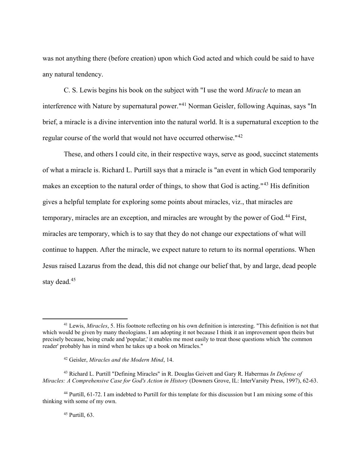was not anything there (before creation) upon which God acted and which could be said to have any natural tendency.

C. S. Lewis begins his book on the subject with "I use the word Miracle to mean an interference with Nature by supernatural power."<sup>41</sup> Norman Geisler, following Aquinas, says "In brief, a miracle is a divine intervention into the natural world. It is a supernatural exception to the regular course of the world that would not have occurred otherwise."<sup>42</sup>

These, and others I could cite, in their respective ways, serve as good, succinct statements of what a miracle is. Richard L. Purtill says that a miracle is "an event in which God temporarily makes an exception to the natural order of things, to show that God is acting."<sup>43</sup> His definition gives a helpful template for exploring some points about miracles, viz., that miracles are temporary, miracles are an exception, and miracles are wrought by the power of God.<sup>44</sup> First, miracles are temporary, which is to say that they do not change our expectations of what will continue to happen. After the miracle, we expect nature to return to its normal operations. When Jesus raised Lazarus from the dead, this did not change our belief that, by and large, dead people stay dead.<sup>45</sup>

45 Purtill, 63.

 $41$  Lewis, *Miracles*, 5. His footnote reflecting on his own definition is interesting. "This definition is not that which would be given by many theologians. I am adopting it not because I think it an improvement upon theirs but precisely because, being crude and 'popular,' it enables me most easily to treat those questions which 'the common reader' probably has in mind when he takes up a book on Miracles."

<sup>42</sup> Geisler, Miracles and the Modern Mind, 14.

<sup>&</sup>lt;sup>43</sup> Richard L. Purtill "Defining Miracles" in R. Douglas Geivett and Gary R. Habermas In Defense of Miracles: A Comprehensive Case for God's Action in History (Downers Grove, IL: InterVarsity Press, 1997), 62-63.

<sup>44</sup> Purtill, 61-72. I am indebted to Purtill for this template for this discussion but I am mixing some of this thinking with some of my own.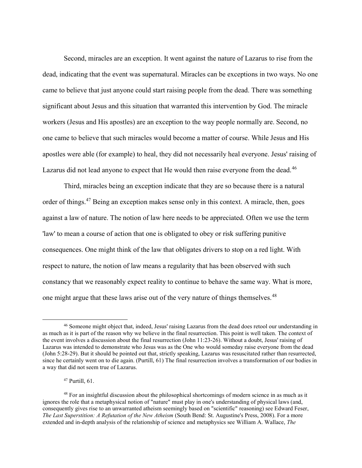Second, miracles are an exception. It went against the nature of Lazarus to rise from the dead, indicating that the event was supernatural. Miracles can be exceptions in two ways. No one came to believe that just anyone could start raising people from the dead. There was something significant about Jesus and this situation that warranted this intervention by God. The miracle workers (Jesus and His apostles) are an exception to the way people normally are. Second, no one came to believe that such miracles would become a matter of course. While Jesus and His apostles were able (for example) to heal, they did not necessarily heal everyone. Jesus' raising of Lazarus did not lead anyone to expect that He would then raise everyone from the dead.<sup>46</sup>

Third, miracles being an exception indicate that they are so because there is a natural order of things.<sup>47</sup> Being an exception makes sense only in this context. A miracle, then, goes against a law of nature. The notion of law here needs to be appreciated. Often we use the term 'law' to mean a course of action that one is obligated to obey or risk suffering punitive consequences. One might think of the law that obligates drivers to stop on a red light. With respect to nature, the notion of law means a regularity that has been observed with such constancy that we reasonably expect reality to continue to behave the same way. What is more, one might argue that these laws arise out of the very nature of things themselves.<sup>48</sup>

<sup>47</sup> Purtill, 61.

<sup>46</sup> Someone might object that, indeed, Jesus' raising Lazarus from the dead does retool our understanding in as much as it is part of the reason why we believe in the final resurrection. This point is well taken. The context of the event involves a discussion about the final resurrection (John 11:23-26). Without a doubt, Jesus' raising of Lazarus was intended to demonstrate who Jesus was as the One who would someday raise everyone from the dead (John 5:28-29). But it should be pointed out that, strictly speaking, Lazarus was resuscitated rather than resurrected, since he certainly went on to die again. (Purtill, 61) The final resurrection involves a transformation of our bodies in a way that did not seem true of Lazarus.

<sup>&</sup>lt;sup>48</sup> For an insightful discussion about the philosophical shortcomings of modern science in as much as it ignores the role that a metaphysical notion of "nature" must play in one's understanding of physical laws (and, consequently gives rise to an unwarranted atheism seemingly based on "scientific" reasoning) see Edward Feser, The Last Superstition: A Refutation of the New Atheism (South Bend: St. Augustine's Press, 2008). For a more extended and in-depth analysis of the relationship of science and metaphysics see William A. Wallace, The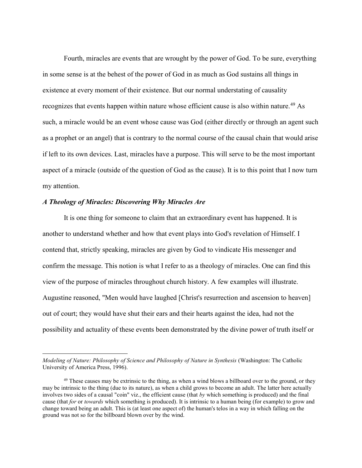Fourth, miracles are events that are wrought by the power of God. To be sure, everything in some sense is at the behest of the power of God in as much as God sustains all things in existence at every moment of their existence. But our normal understating of causality recognizes that events happen within nature whose efficient cause is also within nature.<sup>49</sup> As such, a miracle would be an event whose cause was God (either directly or through an agent such as a prophet or an angel) that is contrary to the normal course of the causal chain that would arise if left to its own devices. Last, miracles have a purpose. This will serve to be the most important aspect of a miracle (outside of the question of God as the cause). It is to this point that I now turn my attention.

### A Theology of Miracles: Discovering Why Miracles Are

 $\overline{a}$ 

It is one thing for someone to claim that an extraordinary event has happened. It is another to understand whether and how that event plays into God's revelation of Himself. I contend that, strictly speaking, miracles are given by God to vindicate His messenger and confirm the message. This notion is what I refer to as a theology of miracles. One can find this view of the purpose of miracles throughout church history. A few examples will illustrate. Augustine reasoned, "Men would have laughed [Christ's resurrection and ascension to heaven] out of court; they would have shut their ears and their hearts against the idea, had not the possibility and actuality of these events been demonstrated by the divine power of truth itself or

Modeling of Nature: Philosophy of Science and Philosophy of Nature in Synthesis (Washington: The Catholic University of America Press, 1996).

 $49$  These causes may be extrinsic to the thing, as when a wind blows a billboard over to the ground, or they may be intrinsic to the thing (due to its nature), as when a child grows to become an adult. The latter here actually involves two sides of a causal "coin" viz., the efficient cause (that  $by$  which something is produced) and the final cause (that for or towards which something is produced). It is intrinsic to a human being (for example) to grow and change toward being an adult. This is (at least one aspect of) the human's telos in a way in which falling on the ground was not so for the billboard blown over by the wind.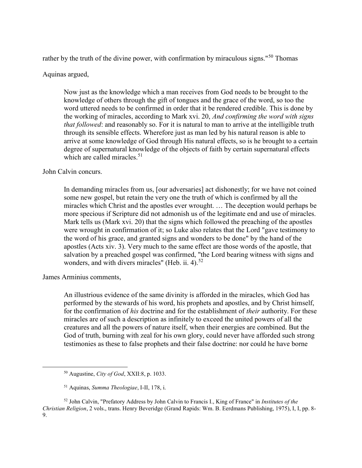rather by the truth of the divine power, with confirmation by miraculous signs."<sup>50</sup> Thomas

Aquinas argued,

Now just as the knowledge which a man receives from God needs to be brought to the knowledge of others through the gift of tongues and the grace of the word, so too the word uttered needs to be confirmed in order that it be rendered credible. This is done by the working of miracles, according to Mark xvi. 20, And confirming the word with signs that followed: and reasonably so. For it is natural to man to arrive at the intelligible truth through its sensible effects. Wherefore just as man led by his natural reason is able to arrive at some knowledge of God through His natural effects, so is he brought to a certain degree of supernatural knowledge of the objects of faith by certain supernatural effects which are called miracles.<sup>51</sup>

John Calvin concurs.

In demanding miracles from us, [our adversaries] act dishonestly; for we have not coined some new gospel, but retain the very one the truth of which is confirmed by all the miracles which Christ and the apostles ever wrought. … The deception would perhaps be more specious if Scripture did not admonish us of the legitimate end and use of miracles. Mark tells us (Mark xvi. 20) that the signs which followed the preaching of the apostles were wrought in confirmation of it; so Luke also relates that the Lord "gave testimony to the word of his grace, and granted signs and wonders to be done" by the hand of the apostles (Acts xiv. 3). Very much to the same effect are those words of the apostle, that salvation by a preached gospel was confirmed, "the Lord bearing witness with signs and wonders, and with divers miracles" (Heb. ii. 4). $52$ 

James Arminius comments,

 $\overline{a}$ 

An illustrious evidence of the same divinity is afforded in the miracles, which God has performed by the stewards of his word, his prophets and apostles, and by Christ himself, for the confirmation of his doctrine and for the establishment of their authority. For these miracles are of such a description as infinitely to exceed the united powers of all the creatures and all the powers of nature itself, when their energies are combined. But the God of truth, burning with zeal for his own glory, could never have afforded such strong testimonies as these to false prophets and their false doctrine: nor could he have borne

 $50$  Augustine, *City of God*, XXII:8, p. 1033.

<sup>51</sup> Aquinas, Summa Theologiae, I-II, 178, i.

<sup>&</sup>lt;sup>52</sup> John Calvin, "Prefatory Address by John Calvin to Francis I., King of France" in *Institutes of the* Christian Religion, 2 vols., trans. Henry Beveridge (Grand Rapids: Wm. B. Eerdmans Publishing, 1975), I, I, pp. 8- 9.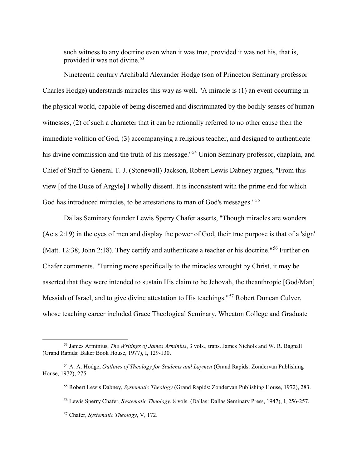such witness to any doctrine even when it was true, provided it was not his, that is, provided it was not divine.<sup>53</sup>

Nineteenth century Archibald Alexander Hodge (son of Princeton Seminary professor Charles Hodge) understands miracles this way as well. "A miracle is (1) an event occurring in the physical world, capable of being discerned and discriminated by the bodily senses of human witnesses, (2) of such a character that it can be rationally referred to no other cause then the immediate volition of God, (3) accompanying a religious teacher, and designed to authenticate his divine commission and the truth of his message."<sup>54</sup> Union Seminary professor, chaplain, and Chief of Staff to General T. J. (Stonewall) Jackson, Robert Lewis Dabney argues, "From this view [of the Duke of Argyle] I wholly dissent. It is inconsistent with the prime end for which God has introduced miracles, to be attestations to man of God's messages."<sup>55</sup>

Dallas Seminary founder Lewis Sperry Chafer asserts, "Though miracles are wonders (Acts 2:19) in the eyes of men and display the power of God, their true purpose is that of a 'sign' (Matt. 12:38; John 2:18). They certify and authenticate a teacher or his doctrine."<sup>56</sup> Further on Chafer comments, "Turning more specifically to the miracles wrought by Christ, it may be asserted that they were intended to sustain His claim to be Jehovah, the theanthropic [God/Man] Messiah of Israel, and to give divine attestation to His teachings."<sup>57</sup> Robert Duncan Culver, whose teaching career included Grace Theological Seminary, Wheaton College and Graduate

<sup>53</sup> James Arminius, The Writings of James Arminius, 3 vols., trans. James Nichols and W. R. Bagnall (Grand Rapids: Baker Book House, 1977), I, 129-130.

<sup>&</sup>lt;sup>54</sup> A. A. Hodge, *Outlines of Theology for Students and Laymen* (Grand Rapids: Zondervan Publishing House, 1972), 275.

<sup>&</sup>lt;sup>55</sup> Robert Lewis Dabney, Systematic Theology (Grand Rapids: Zondervan Publishing House, 1972), 283.

<sup>56</sup> Lewis Sperry Chafer, Systematic Theology, 8 vols. (Dallas: Dallas Seminary Press, 1947), I, 256-257.

<sup>57</sup> Chafer, Systematic Theology, V, 172.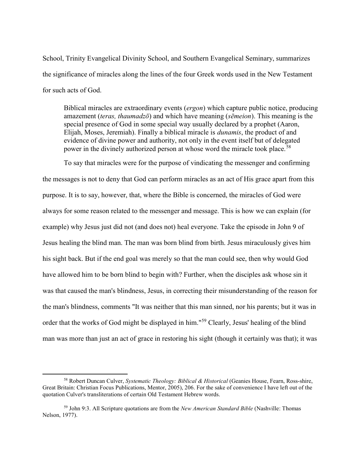School, Trinity Evangelical Divinity School, and Southern Evangelical Seminary, summarizes the significance of miracles along the lines of the four Greek words used in the New Testament for such acts of God.

Biblical miracles are extraordinary events (ergon) which capture public notice, producing amazement *(teras, thaumadzō)* and which have meaning *(sēmeion)*. This meaning is the special presence of God in some special way usually declared by a prophet (Aaron, Elijah, Moses, Jeremiah). Finally a biblical miracle is dunamis, the product of and evidence of divine power and authority, not only in the event itself but of delegated power in the divinely authorized person at whose word the miracle took place.<sup>58</sup>

To say that miracles were for the purpose of vindicating the messenger and confirming the messages is not to deny that God can perform miracles as an act of His grace apart from this purpose. It is to say, however, that, where the Bible is concerned, the miracles of God were always for some reason related to the messenger and message. This is how we can explain (for example) why Jesus just did not (and does not) heal everyone. Take the episode in John 9 of Jesus healing the blind man. The man was born blind from birth. Jesus miraculously gives him his sight back. But if the end goal was merely so that the man could see, then why would God have allowed him to be born blind to begin with? Further, when the disciples ask whose sin it was that caused the man's blindness, Jesus, in correcting their misunderstanding of the reason for the man's blindness, comments "It was neither that this man sinned, nor his parents; but it was in order that the works of God might be displayed in him."<sup>59</sup> Clearly, Jesus' healing of the blind man was more than just an act of grace in restoring his sight (though it certainly was that); it was

<sup>&</sup>lt;sup>58</sup> Robert Duncan Culver, Systematic Theology: Biblical & Historical (Geanies House, Fearn, Ross-shire, Great Britain: Christian Focus Publications, Mentor, 2005), 206. For the sake of convenience I have left out of the quotation Culver's transliterations of certain Old Testament Hebrew words.

 $59$  John 9:3. All Scripture quotations are from the *New American Standard Bible* (Nashville: Thomas Nelson, 1977).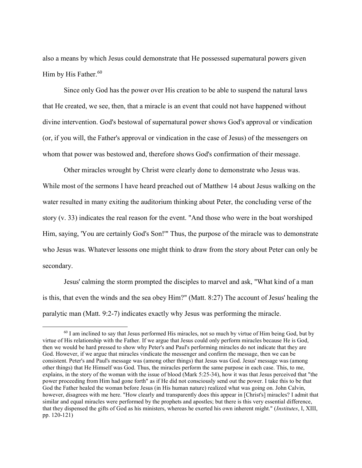also a means by which Jesus could demonstrate that He possessed supernatural powers given Him by His Father. $^{60}$ 

Since only God has the power over His creation to be able to suspend the natural laws that He created, we see, then, that a miracle is an event that could not have happened without divine intervention. God's bestowal of supernatural power shows God's approval or vindication (or, if you will, the Father's approval or vindication in the case of Jesus) of the messengers on whom that power was bestowed and, therefore shows God's confirmation of their message.

Other miracles wrought by Christ were clearly done to demonstrate who Jesus was. While most of the sermons I have heard preached out of Matthew 14 about Jesus walking on the water resulted in many exiting the auditorium thinking about Peter, the concluding verse of the story (v. 33) indicates the real reason for the event. "And those who were in the boat worshiped Him, saying, 'You are certainly God's Son!'" Thus, the purpose of the miracle was to demonstrate who Jesus was. Whatever lessons one might think to draw from the story about Peter can only be secondary.

Jesus' calming the storm prompted the disciples to marvel and ask, "What kind of a man is this, that even the winds and the sea obey Him?" (Matt. 8:27) The account of Jesus' healing the paralytic man (Matt. 9:2-7) indicates exactly why Jesus was performing the miracle.

 $60$  I am inclined to say that Jesus performed His miracles, not so much by virtue of Him being God, but by virtue of His relationship with the Father. If we argue that Jesus could only perform miracles because He is God, then we would be hard pressed to show why Peter's and Paul's performing miracles do not indicate that they are God. However, if we argue that miracles vindicate the messenger and confirm the message, then we can be consistent. Peter's and Paul's message was (among other things) that Jesus was God. Jesus' message was (among other things) that He Himself was God. Thus, the miracles perform the same purpose in each case. This, to me, explains, in the story of the woman with the issue of blood (Mark 5:25-34), how it was that Jesus perceived that "the power proceeding from Him had gone forth" as if He did not consciously send out the power. I take this to be that God the Father healed the woman before Jesus (in His human nature) realized what was going on. John Calvin, however, disagrees with me here. "How clearly and transparently does this appear in [Christ's] miracles? I admit that similar and equal miracles were performed by the prophets and apostles; but there is this very essential difference, that they dispensed the gifts of God as his ministers, whereas he exerted his own inherent might." (Institutes, I, XIII, pp. 120-121)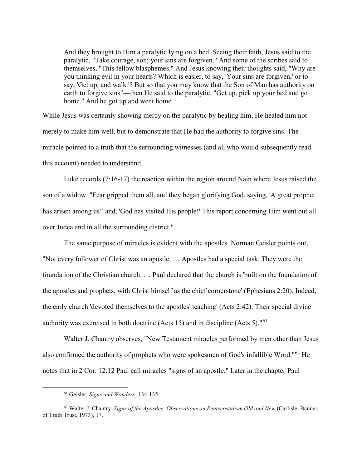And they brought to Him a paralytic lying on a bed. Seeing their faith, Jesus said to the paralytic, "Take courage, son; your sins are forgiven." And some of the scribes said to themselves, "This fellow blasphemes." And Jesus knowing their thoughts said, "Why are you thinking evil in your hearts? Which is easier, to say, 'Your sins are forgiven,' or to say, 'Get up, and walk '? But so that you may know that the Son of Man has authority on earth to forgive sins"—then He said to the paralytic, "Get up, pick up your bed and go home." And he got up and went home.

While Jesus was certainly showing mercy on the paralytic by healing him, He healed him not merely to make him well, but to demonstrate that He had the authority to forgive sins. The miracle pointed to a truth that the surrounding witnesses (and all who would subsequently read this account) needed to understand.

Luke records (7:16-17) the reaction within the region around Nain where Jesus raised the son of a widow. "Fear gripped them all, and they began glorifying God, saying, 'A great prophet has arisen among us!' and, 'God has visited His people!' This report concerning Him went out all over Judea and in all the surrounding district."

The same purpose of miracles is evident with the apostles. Norman Geisler points out, "Not every follower of Christ was an apostle. … Apostles had a special task. They were the foundation of the Christian church. … Paul declared that the church is 'built on the foundation of the apostles and prophets, with Christ himself as the chief cornerstone' (Ephesians 2:20). Indeed, the early church 'devoted themselves to the apostles' teaching' (Acts 2:42). Their special divine authority was exercised in both doctrine (Acts 15) and in discipline (Acts 5)."<sup>61</sup>

Walter J. Chantry observes, "New Testament miracles performed by men other than Jesus also confirmed the authority of prophets who were spokesmen of God's infallible Word."<sup>62</sup> He notes that in 2 Cor. 12:12 Paul call miracles "signs of an apostle." Later in the chapter Paul

<sup>61</sup> Geisler, Signs and Wonders¸ 134-135.

 $62$  Walter J. Chantry, Signs of the Apostles: Observations on Pentecostalism Old and New (Carlisle: Banner of Truth Trust, 1973), 17.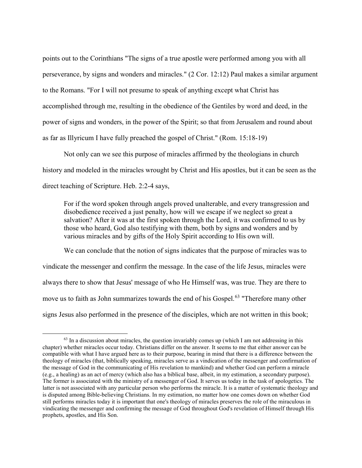points out to the Corinthians "The signs of a true apostle were performed among you with all perseverance, by signs and wonders and miracles." (2 Cor. 12:12) Paul makes a similar argument to the Romans. "For I will not presume to speak of anything except what Christ has accomplished through me, resulting in the obedience of the Gentiles by word and deed, in the power of signs and wonders, in the power of the Spirit; so that from Jerusalem and round about as far as Illyricum I have fully preached the gospel of Christ." (Rom. 15:18-19)

Not only can we see this purpose of miracles affirmed by the theologians in church history and modeled in the miracles wrought by Christ and His apostles, but it can be seen as the direct teaching of Scripture. Heb. 2:2-4 says,

For if the word spoken through angels proved unalterable, and every transgression and disobedience received a just penalty, how will we escape if we neglect so great a salvation? After it was at the first spoken through the Lord, it was confirmed to us by those who heard, God also testifying with them, both by signs and wonders and by various miracles and by gifts of the Holy Spirit according to His own will.

We can conclude that the notion of signs indicates that the purpose of miracles was to vindicate the messenger and confirm the message. In the case of the life Jesus, miracles were always there to show that Jesus' message of who He Himself was, was true. They are there to move us to faith as John summarizes towards the end of his Gospel.<sup>63</sup> "Therefore many other signs Jesus also performed in the presence of the disciples, which are not written in this book;

 $^{63}$  In a discussion about miracles, the question invariably comes up (which I am not addressing in this chapter) whether miracles occur today. Christians differ on the answer. It seems to me that either answer can be compatible with what I have argued here as to their purpose, bearing in mind that there is a difference between the theology of miracles (that, biblically speaking, miracles serve as a vindication of the messenger and confirmation of the message of God in the communicating of His revelation to mankind) and whether God can perform a miracle (e.g., a healing) as an act of mercy (which also has a biblical base, albeit, in my estimation, a secondary purpose). The former is associated with the ministry of a messenger of God. It serves us today in the task of apologetics. The latter is not associated with any particular person who performs the miracle. It is a matter of systematic theology and is disputed among Bible-believing Christians. In my estimation, no matter how one comes down on whether God still performs miracles today it is important that one's theology of miracles preserves the role of the miraculous in vindicating the messenger and confirming the message of God throughout God's revelation of Himself through His prophets, apostles, and His Son.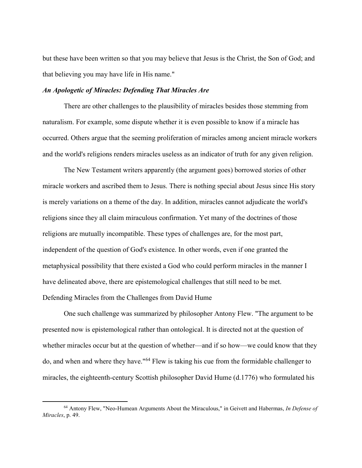but these have been written so that you may believe that Jesus is the Christ, the Son of God; and that believing you may have life in His name."

#### An Apologetic of Miracles: Defending That Miracles Are

There are other challenges to the plausibility of miracles besides those stemming from naturalism. For example, some dispute whether it is even possible to know if a miracle has occurred. Others argue that the seeming proliferation of miracles among ancient miracle workers and the world's religions renders miracles useless as an indicator of truth for any given religion.

The New Testament writers apparently (the argument goes) borrowed stories of other miracle workers and ascribed them to Jesus. There is nothing special about Jesus since His story is merely variations on a theme of the day. In addition, miracles cannot adjudicate the world's religions since they all claim miraculous confirmation. Yet many of the doctrines of those religions are mutually incompatible. These types of challenges are, for the most part, independent of the question of God's existence. In other words, even if one granted the metaphysical possibility that there existed a God who could perform miracles in the manner I have delineated above, there are epistemological challenges that still need to be met. Defending Miracles from the Challenges from David Hume

One such challenge was summarized by philosopher Antony Flew. "The argument to be presented now is epistemological rather than ontological. It is directed not at the question of whether miracles occur but at the question of whether—and if so how—we could know that they do, and when and where they have."<sup>64</sup> Flew is taking his cue from the formidable challenger to miracles, the eighteenth-century Scottish philosopher David Hume (d.1776) who formulated his

 $64$  Antony Flew, "Neo-Humean Arguments About the Miraculous," in Geivett and Habermas, In Defense of Miracles, p. 49.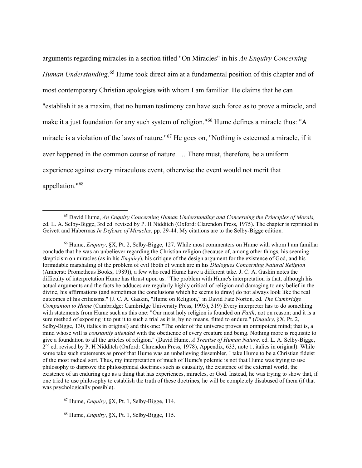arguments regarding miracles in a section titled "On Miracles" in his An Enquiry Concerning Human Understanding.<sup>65</sup> Hume took direct aim at a fundamental position of this chapter and of most contemporary Christian apologists with whom I am familiar. He claims that he can "establish it as a maxim, that no human testimony can have such force as to prove a miracle, and make it a just foundation for any such system of religion."<sup>66</sup> Hume defines a miracle thus: "A miracle is a violation of the laws of nature."<sup>67</sup> He goes on, "Nothing is esteemed a miracle, if it ever happened in the common course of nature. … There must, therefore, be a uniform experience against every miraculous event, otherwise the event would not merit that appellation."<sup>68</sup>

 $67$  Hume, *Enquiry*, §X, Pt. 1, Selby-Bigge, 114.

 $\overline{a}$ 

68 Hume, Enquiry, §X, Pt. 1, Selby-Bigge, 115.

<sup>&</sup>lt;sup>65</sup> David Hume, An Enquiry Concerning Human Understanding and Concerning the Principles of Morals, ed. L. A. Selby-Bigge, 3rd ed. revised by P. H Nidditch (Oxford: Clarendon Press, 1975). The chapter is reprinted in Geivett and Habermas In Defense of Miracles, pp. 29-44. My citations are to the Selby-Bigge edition.

 $^{66}$  Hume, *Enquiry*, §X, Pt. 2, Selby-Bigge, 127. While most commenters on Hume with whom I am familiar conclude that he was an unbeliever regarding the Christian religion (because of, among other things, his seeming skepticism on miracles (as in his *Enquiry*), his critique of the design argument for the existence of God, and his formidable marshaling of the problem of evil (both of which are in his Dialogues Concerning Natural Religion (Amherst: Prometheus Books, 1989)), a few who read Hume have a different take. J. C. A. Gaskin notes the difficulty of interpretation Hume has thrust upon us. "The problem with Hume's interpretation is that, although his actual arguments and the facts he adduces are regularly highly critical of religion and damaging to any belief in the divine, his affirmations (and sometimes the conclusions which he seems to draw) do not always look like the real outcomes of his criticisms." (J. C. A. Gaskin, "Hume on Religion," in David Fate Norton, ed. The Cambridge Companion to Hume (Cambridge: Cambridge University Press, 1993), 319) Every interpreter has to do something with statements from Hume such as this one: "Our most holy religion is founded on *Faith*, not on reason; and it is a sure method of exposing it to put it to such a trial as it is, by no means, fitted to endure." (*Enquiry*, §X, Pt. 2, Selby-Bigge, 130, italics in original) and this one: "The order of the universe proves an omnipotent mind; that is, a mind whose will is *constantly attended* with the obedience of every creature and being. Nothing more is requisite to give a foundation to all the articles of religion." (David Hume, A Treatise of Human Nature, ed. L. A. Selby-Bigge, 2<sup>nd</sup> ed. revised by P. H Nidditch (Oxford: Clarendon Press, 1978), Appendix, 633, note 1, italics in original). While some take such statements as proof that Hume was an unbelieving dissembler, I take Hume to be a Christian fideist of the most radical sort. Thus, my interpretation of much of Hume's polemic is not that Hume was trying to use philosophy to disprove the philosophical doctrines such as causality, the existence of the external world, the existence of an enduring ego as a thing that has experiences, miracles, or God. Instead, he was trying to show that, if one tried to use philosophy to establish the truth of these doctrines, he will be completely disabused of them (if that was psychologically possible).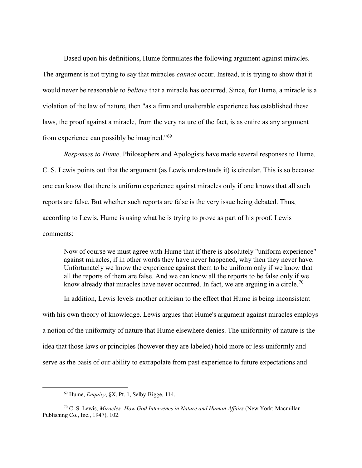Based upon his definitions, Hume formulates the following argument against miracles. The argument is not trying to say that miracles *cannot* occur. Instead, it is trying to show that it would never be reasonable to believe that a miracle has occurred. Since, for Hume, a miracle is a violation of the law of nature, then "as a firm and unalterable experience has established these laws, the proof against a miracle, from the very nature of the fact, is as entire as any argument from experience can possibly be imagined."<sup>69</sup>

Responses to Hume. Philosophers and Apologists have made several responses to Hume. C. S. Lewis points out that the argument (as Lewis understands it) is circular. This is so because one can know that there is uniform experience against miracles only if one knows that all such reports are false. But whether such reports are false is the very issue being debated. Thus, according to Lewis, Hume is using what he is trying to prove as part of his proof. Lewis comments:

Now of course we must agree with Hume that if there is absolutely "uniform experience" against miracles, if in other words they have never happened, why then they never have. Unfortunately we know the experience against them to be uniform only if we know that all the reports of them are false. And we can know all the reports to be false only if we know already that miracles have never occurred. In fact, we are arguing in a circle.<sup>70</sup>

In addition, Lewis levels another criticism to the effect that Hume is being inconsistent with his own theory of knowledge. Lewis argues that Hume's argument against miracles employs a notion of the uniformity of nature that Hume elsewhere denies. The uniformity of nature is the idea that those laws or principles (however they are labeled) hold more or less uniformly and serve as the basis of our ability to extrapolate from past experience to future expectations and

 $69$  Hume, *Enquiry*, §X, Pt. 1, Selby-Bigge, 114.

 $70$  C. S. Lewis, Miracles: How God Intervenes in Nature and Human Affairs (New York: Macmillan Publishing Co., Inc., 1947), 102.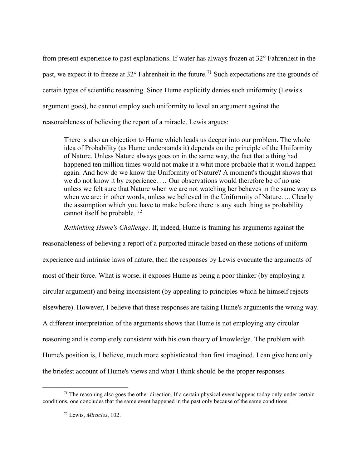from present experience to past explanations. If water has always frozen at 32° Fahrenheit in the past, we expect it to freeze at  $32^{\circ}$  Fahrenheit in the future.<sup>71</sup> Such expectations are the grounds of certain types of scientific reasoning. Since Hume explicitly denies such uniformity (Lewis's argument goes), he cannot employ such uniformity to level an argument against the reasonableness of believing the report of a miracle. Lewis argues:

There is also an objection to Hume which leads us deeper into our problem. The whole idea of Probability (as Hume understands it) depends on the principle of the Uniformity of Nature. Unless Nature always goes on in the same way, the fact that a thing had happened ten million times would not make it a whit more probable that it would happen again. And how do we know the Uniformity of Nature? A moment's thought shows that we do not know it by experience. … Our observations would therefore be of no use unless we felt sure that Nature when we are not watching her behaves in the same way as when we are: in other words, unless we believed in the Uniformity of Nature. ... Clearly the assumption which you have to make before there is any such thing as probability cannot itself be probable.<sup>72</sup>

Rethinking Hume's Challenge. If, indeed, Hume is framing his arguments against the

reasonableness of believing a report of a purported miracle based on these notions of uniform experience and intrinsic laws of nature, then the responses by Lewis evacuate the arguments of most of their force. What is worse, it exposes Hume as being a poor thinker (by employing a circular argument) and being inconsistent (by appealing to principles which he himself rejects elsewhere). However, I believe that these responses are taking Hume's arguments the wrong way. A different interpretation of the arguments shows that Hume is not employing any circular reasoning and is completely consistent with his own theory of knowledge. The problem with Hume's position is, I believe, much more sophisticated than first imagined. I can give here only the briefest account of Hume's views and what I think should be the proper responses.

 $71$  The reasoning also goes the other direction. If a certain physical event happens today only under certain conditions, one concludes that the same event happened in the past only because of the same conditions.

<sup>72</sup> Lewis, Miracles, 102.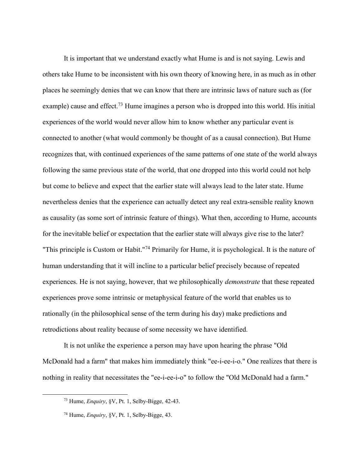It is important that we understand exactly what Hume is and is not saying. Lewis and others take Hume to be inconsistent with his own theory of knowing here, in as much as in other places he seemingly denies that we can know that there are intrinsic laws of nature such as (for example) cause and effect.<sup>73</sup> Hume imagines a person who is dropped into this world. His initial experiences of the world would never allow him to know whether any particular event is connected to another (what would commonly be thought of as a causal connection). But Hume recognizes that, with continued experiences of the same patterns of one state of the world always following the same previous state of the world, that one dropped into this world could not help but come to believe and expect that the earlier state will always lead to the later state. Hume nevertheless denies that the experience can actually detect any real extra-sensible reality known as causality (as some sort of intrinsic feature of things). What then, according to Hume, accounts for the inevitable belief or expectation that the earlier state will always give rise to the later? "This principle is Custom or Habit."<sup>74</sup> Primarily for Hume, it is psychological. It is the nature of human understanding that it will incline to a particular belief precisely because of repeated experiences. He is not saying, however, that we philosophically *demonstrate* that these repeated experiences prove some intrinsic or metaphysical feature of the world that enables us to rationally (in the philosophical sense of the term during his day) make predictions and retrodictions about reality because of some necessity we have identified.

It is not unlike the experience a person may have upon hearing the phrase "Old McDonald had a farm" that makes him immediately think "ee-i-ee-i-o." One realizes that there is nothing in reality that necessitates the "ee-i-ee-i-o" to follow the "Old McDonald had a farm."

 $73$  Hume, *Enquiry*, §V, Pt. 1, Selby-Bigge, 42-43.

<sup>74</sup> Hume, Enquiry, §V, Pt. 1, Selby-Bigge, 43.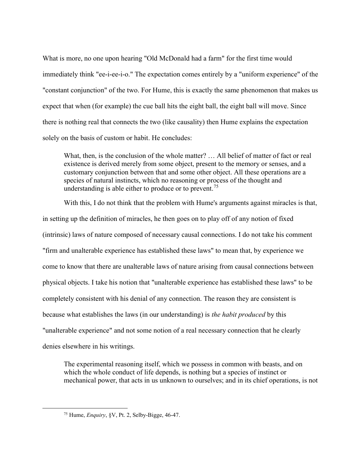What is more, no one upon hearing "Old McDonald had a farm" for the first time would immediately think "ee-i-ee-i-o." The expectation comes entirely by a "uniform experience" of the "constant conjunction" of the two. For Hume, this is exactly the same phenomenon that makes us expect that when (for example) the cue ball hits the eight ball, the eight ball will move. Since there is nothing real that connects the two (like causality) then Hume explains the expectation solely on the basis of custom or habit. He concludes:

What, then, is the conclusion of the whole matter? ... All belief of matter of fact or real existence is derived merely from some object, present to the memory or senses, and a customary conjunction between that and some other object. All these operations are a species of natural instincts, which no reasoning or process of the thought and understanding is able either to produce or to prevent.<sup>75</sup>

With this, I do not think that the problem with Hume's arguments against miracles is that, in setting up the definition of miracles, he then goes on to play off of any notion of fixed (intrinsic) laws of nature composed of necessary causal connections. I do not take his comment "firm and unalterable experience has established these laws" to mean that, by experience we come to know that there are unalterable laws of nature arising from causal connections between physical objects. I take his notion that "unalterable experience has established these laws" to be completely consistent with his denial of any connection. The reason they are consistent is because what establishes the laws (in our understanding) is the habit produced by this "unalterable experience" and not some notion of a real necessary connection that he clearly denies elsewhere in his writings.

The experimental reasoning itself, which we possess in common with beasts, and on which the whole conduct of life depends, is nothing but a species of instinct or mechanical power, that acts in us unknown to ourselves; and in its chief operations, is not

<sup>&</sup>lt;sup>75</sup> Hume, *Enquiry*, §V, Pt. 2, Selby-Bigge, 46-47.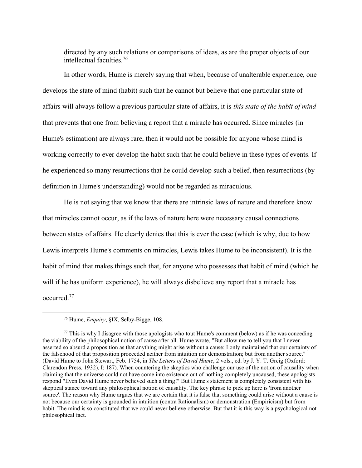directed by any such relations or comparisons of ideas, as are the proper objects of our intellectual faculties.<sup>76</sup>

In other words, Hume is merely saying that when, because of unalterable experience, one develops the state of mind (habit) such that he cannot but believe that one particular state of affairs will always follow a previous particular state of affairs, it is this state of the habit of mind that prevents that one from believing a report that a miracle has occurred. Since miracles (in Hume's estimation) are always rare, then it would not be possible for anyone whose mind is working correctly to ever develop the habit such that he could believe in these types of events. If he experienced so many resurrections that he could develop such a belief, then resurrections (by definition in Hume's understanding) would not be regarded as miraculous.

He is not saying that we know that there are intrinsic laws of nature and therefore know that miracles cannot occur, as if the laws of nature here were necessary causal connections between states of affairs. He clearly denies that this is ever the case (which is why, due to how Lewis interprets Hume's comments on miracles, Lewis takes Hume to be inconsistent). It is the habit of mind that makes things such that, for anyone who possesses that habit of mind (which he will if he has uniform experience), he will always disbelieve any report that a miracle has occurred.<sup>77</sup>

<sup>76</sup> Hume, Enquiry, §IX, Selby-Bigge, 108.

 $77$  This is why I disagree with those apologists who tout Hume's comment (below) as if he was conceding the viability of the philosophical notion of cause after all. Hume wrote, "But allow me to tell you that I never asserted so absurd a proposition as that anything might arise without a cause: I only maintained that our certainty of the falsehood of that proposition proceeded neither from intuition nor demonstration; but from another source." (David Hume to John Stewart, Feb. 1754, in The Letters of David Hume, 2 vols., ed. by J. Y. T. Greig (Oxford: Clarendon Press, 1932), I: 187). When countering the skeptics who challenge our use of the notion of causality when claiming that the universe could not have come into existence out of nothing completely uncaused, these apologists respond "Even David Hume never believed such a thing!" But Hume's statement is completely consistent with his skeptical stance toward any philosophical notion of causality. The key phrase to pick up here is 'from another source'. The reason why Hume argues that we are certain that it is false that something could arise without a cause is not because our certainty is grounded in intuition (contra Rationalism) or demonstration (Empiricism) but from habit. The mind is so constituted that we could never believe otherwise. But that it is this way is a psychological not philosophical fact.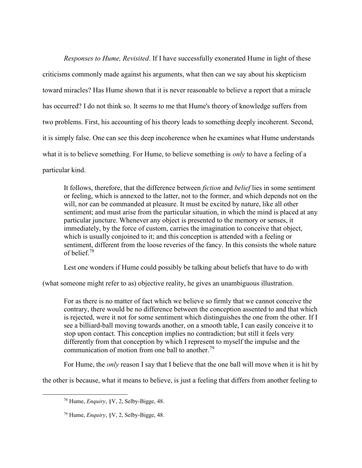Responses to Hume, Revisited. If I have successfully exonerated Hume in light of these criticisms commonly made against his arguments, what then can we say about his skepticism toward miracles? Has Hume shown that it is never reasonable to believe a report that a miracle has occurred? I do not think so. It seems to me that Hume's theory of knowledge suffers from two problems. First, his accounting of his theory leads to something deeply incoherent. Second, it is simply false. One can see this deep incoherence when he examines what Hume understands what it is to believe something. For Hume, to believe something is *only* to have a feeling of a particular kind.

It follows, therefore, that the difference between *fiction* and *belief* lies in some sentiment or feeling, which is annexed to the latter, not to the former, and which depends not on the will, nor can be commanded at pleasure. It must be excited by nature, like all other sentiment; and must arise from the particular situation, in which the mind is placed at any particular juncture. Whenever any object is presented to the memory or senses, it immediately, by the force of custom, carries the imagination to conceive that object, which is usually conjoined to it; and this conception is attended with a feeling or sentiment, different from the loose reveries of the fancy. In this consists the whole nature of belief.<sup>78</sup>

Lest one wonders if Hume could possibly be talking about beliefs that have to do with

(what someone might refer to as) objective reality, he gives an unambiguous illustration.

For as there is no matter of fact which we believe so firmly that we cannot conceive the contrary, there would be no difference between the conception assented to and that which is rejected, were it not for some sentiment which distinguishes the one from the other. If I see a billiard-ball moving towards another, on a smooth table, I can easily conceive it to stop upon contact. This conception implies no contradiction; but still it feels very differently from that conception by which I represent to myself the impulse and the communication of motion from one ball to another.<sup>79</sup>

For Hume, the *only* reason I say that I believe that the one ball will move when it is hit by

the other is because, what it means to believe, is just a feeling that differs from another feeling to

 $78$  Hume, *Enquiry*, §V, 2, Selby-Bigge, 48.

 $79$  Hume, *Enquiry*, §V, 2, Selby-Bigge, 48.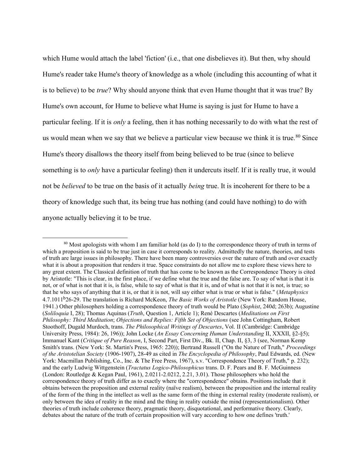which Hume would attach the label 'fiction' (i.e., that one disbelieves it). But then, why should Hume's reader take Hume's theory of knowledge as a whole (including this accounting of what it is to believe) to be *true*? Why should anyone think that even Hume thought that it was true? By Hume's own account, for Hume to believe what Hume is saying is just for Hume to have a particular feeling. If it is only a feeling, then it has nothing necessarily to do with what the rest of us would mean when we say that we believe a particular view because we think it is true.<sup>80</sup> Since Hume's theory disallows the theory itself from being believed to be true (since to believe something is to *only* have a particular feeling) then it undercuts itself. If it is really true, it would not be *believed* to be true on the basis of it actually *being* true. It is incoherent for there to be a theory of knowledge such that, its being true has nothing (and could have nothing) to do with anyone actually believing it to be true.

 $80$  Most apologists with whom I am familiar hold (as do I) to the correspondence theory of truth in terms of which a proposition is said to be true just in case it corresponds to reality. Admittedly the nature, theories, and tests of truth are large issues in philosophy. There have been many controversies over the nature of truth and over exactly what it is about a proposition that renders it true. Space constraints do not allow me to explore these views here to any great extent. The Classical definition of truth that has come to be known as the Correspondence Theory is cited by Aristotle: "This is clear, in the first place, if we define what the true and the false are. To say of what is that it is not, or of what is not that it is, is false, while to say of what is that it is, and of what is not that it is not, is true; so that he who says of anything that it is, or that it is not, will say either what is true or what is false." (Metaphysics 4.7.1011<sup>b</sup>26-29. The translation is Richard McKeon, *The Basic Works of Aristotle* (New York: Random House, 1941.) Other philosophers holding a correspondence theory of truth would be Plato (Sophist, 240d; 263b); Augustine (Soliloquia I, 28); Thomas Aquinas (Truth, Question 1, Article 1); René Descartes (Meditations on First Philosophy: Third Meditation; Objections and Replies: Fifth Set of Objections (see John Cottingham, Robert Stoothoff, Dugald Murdoch, trans. The Philosophical Writings of Descartes, Vol. II (Cambridge: Cambridge University Press, 1984): 26, 196)); John Locke (An Essay Concerning Human Understanding II, XXXII, §2-§5); Immanuel Kant (Critique of Pure Reason, I, Second Part, First Div., Bk. II, Chap. II, §3, 3 (see, Norman Kemp Smith's trans. (New York: St. Martin's Press, 1965: 220)); Bertrand Russell ("On the Nature of Truth," Proceedings of the Aristotelian Society (1906-1907), 28-49 as cited in The Encyclopedia of Philosophy, Paul Edwards, ed. (New York: Macmillan Publishing, Co., Inc. & The Free Press, 1967), s.v. "Correspondence Theory of Truth," p. 232); and the early Ludwig Wittgenstein (Tractatus Logico-Philosophicus trans. D. F. Pears and B. F. McGuinness (London: Routledge & Kegan Paul, 1961), 2.0211-2.0212, 2.21, 3.01). Those philosophers who hold the correspondence theory of truth differ as to exactly where the "correspondence" obtains. Positions include that it obtains between the proposition and external reality (naïve realism), between the proposition and the internal reality of the form of the thing in the intellect as well as the same form of the thing in external reality (moderate realism), or only between the idea of reality in the mind and the thing in reality outside the mind (representationalism). Other theories of truth include coherence theory, pragmatic theory, disquotational, and performative theory. Clearly, debates about the nature of the truth of certain proposition will vary according to how one defines 'truth.'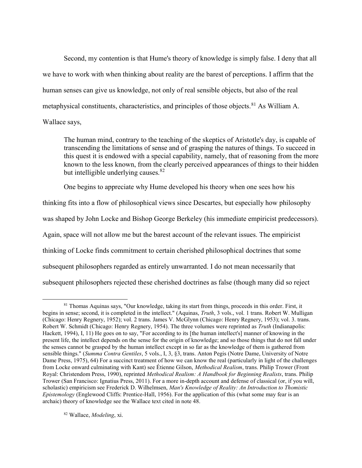Second, my contention is that Hume's theory of knowledge is simply false. I deny that all we have to work with when thinking about reality are the barest of perceptions. I affirm that the human senses can give us knowledge, not only of real sensible objects, but also of the real metaphysical constituents, characteristics, and principles of those objects. <sup>81</sup> As William A. Wallace says,

The human mind, contrary to the teaching of the skeptics of Aristotle's day, is capable of transcending the limitations of sense and of grasping the natures of things. To succeed in this quest it is endowed with a special capability, namely, that of reasoning from the more known to the less known, from the clearly perceived appearances of things to their hidden but intelligible underlying causes.<sup>82</sup>

One begins to appreciate why Hume developed his theory when one sees how his

thinking fits into a flow of philosophical views since Descartes, but especially how philosophy was shaped by John Locke and Bishop George Berkeley (his immediate empiricist predecessors). Again, space will not allow me but the barest account of the relevant issues. The empiricist thinking of Locke finds commitment to certain cherished philosophical doctrines that some subsequent philosophers regarded as entirely unwarranted. I do not mean necessarily that subsequent philosophers rejected these cherished doctrines as false (though many did so reject

82 Wallace, Modeling, xi.

 $\overline{a}$ <sup>81</sup> Thomas Aquinas says, "Our knowledge, taking its start from things, proceeds in this order. First, it begins in sense; second, it is completed in the intellect." (Aquinas, Truth, 3 vols., vol. 1 trans. Robert W. Mulligan (Chicago: Henry Regnery, 1952); vol. 2 trans. James V. McGlynn (Chicago: Henry Regnery, 1953); vol. 3. trans. Robert W. Schmidt (Chicago: Henry Regnery, 1954). The three volumes were reprinted as *Truth* (Indianapolis: Hackett, 1994), I, 11) He goes on to say, "For according to its [the human intellect's] manner of knowing in the present life, the intellect depends on the sense for the origin of knowledge; and so those things that do not fall under the senses cannot be grasped by the human intellect except in so far as the knowledge of them is gathered from sensible things." (Summa Contra Gentiles, 5 vols., I, 3, §3, trans. Anton Pegis (Notre Dame, University of Notre Dame Press, 1975), 64) For a succinct treatment of how we can know the real (particularly in light of the challenges from Locke onward culminating with Kant) see Étienne Gilson, Methodical Realism, trans. Philip Trower (Front Royal: Christendom Press, 1990), reprinted Methodical Realism: A Handbook for Beginning Realists, trans. Philip Trower (San Francisco: Ignatius Press, 2011). For a more in-depth account and defense of classical (or, if you will, scholastic) empiricism see Frederick D. Wilhelmsen, Man's Knowledge of Reality: An Introduction to Thomistic Epistemology (Englewood Cliffs: Prentice-Hall, 1956). For the application of this (what some may fear is an archaic) theory of knowledge see the Wallace text cited in note 48.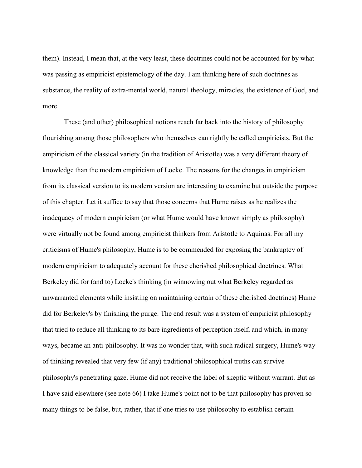them). Instead, I mean that, at the very least, these doctrines could not be accounted for by what was passing as empiricist epistemology of the day. I am thinking here of such doctrines as substance, the reality of extra-mental world, natural theology, miracles, the existence of God, and more.

These (and other) philosophical notions reach far back into the history of philosophy flourishing among those philosophers who themselves can rightly be called empiricists. But the empiricism of the classical variety (in the tradition of Aristotle) was a very different theory of knowledge than the modern empiricism of Locke. The reasons for the changes in empiricism from its classical version to its modern version are interesting to examine but outside the purpose of this chapter. Let it suffice to say that those concerns that Hume raises as he realizes the inadequacy of modern empiricism (or what Hume would have known simply as philosophy) were virtually not be found among empiricist thinkers from Aristotle to Aquinas. For all my criticisms of Hume's philosophy, Hume is to be commended for exposing the bankruptcy of modern empiricism to adequately account for these cherished philosophical doctrines. What Berkeley did for (and to) Locke's thinking (in winnowing out what Berkeley regarded as unwarranted elements while insisting on maintaining certain of these cherished doctrines) Hume did for Berkeley's by finishing the purge. The end result was a system of empiricist philosophy that tried to reduce all thinking to its bare ingredients of perception itself, and which, in many ways, became an anti-philosophy. It was no wonder that, with such radical surgery, Hume's way of thinking revealed that very few (if any) traditional philosophical truths can survive philosophy's penetrating gaze. Hume did not receive the label of skeptic without warrant. But as I have said elsewhere (see note 66) I take Hume's point not to be that philosophy has proven so many things to be false, but, rather, that if one tries to use philosophy to establish certain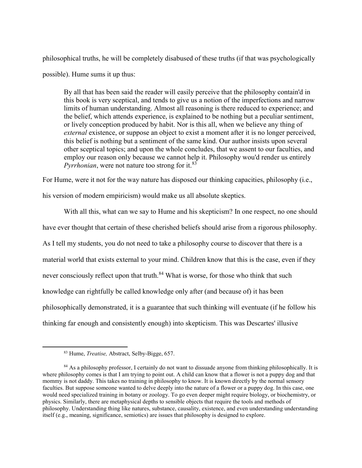philosophical truths, he will be completely disabused of these truths (if that was psychologically possible). Hume sums it up thus:

By all that has been said the reader will easily perceive that the philosophy contain'd in this book is very sceptical, and tends to give us a notion of the imperfections and narrow limits of human understanding. Almost all reasoning is there reduced to experience; and the belief, which attends experience, is explained to be nothing but a peculiar sentiment, or lively conception produced by habit. Nor is this all, when we believe any thing of external existence, or suppose an object to exist a moment after it is no longer perceived, this belief is nothing but a sentiment of the same kind. Our author insists upon several other sceptical topics; and upon the whole concludes, that we assent to our faculties, and employ our reason only because we cannot help it. Philosophy wou'd render us entirely *Pyrrhonian*, were not nature too strong for it.<sup>83</sup>

For Hume, were it not for the way nature has disposed our thinking capacities, philosophy (i.e.,

his version of modern empiricism) would make us all absolute skeptics.

With all this, what can we say to Hume and his skepticism? In one respect, no one should have ever thought that certain of these cherished beliefs should arise from a rigorous philosophy. As I tell my students, you do not need to take a philosophy course to discover that there is a material world that exists external to your mind. Children know that this is the case, even if they never consciously reflect upon that truth.<sup>84</sup> What is worse, for those who think that such knowledge can rightfully be called knowledge only after (and because of) it has been philosophically demonstrated, it is a guarantee that such thinking will eventuate (if he follow his thinking far enough and consistently enough) into skepticism. This was Descartes' illusive

<sup>83</sup> Hume, Treatise, Abstract, Selby-Bigge, 657.

<sup>&</sup>lt;sup>84</sup> As a philosophy professor, I certainly do not want to dissuade anyone from thinking philosophically. It is where philosophy comes is that I am trying to point out. A child can know that a flower is not a puppy dog and that mommy is not daddy. This takes no training in philosophy to know. It is known directly by the normal sensory faculties. But suppose someone wanted to delve deeply into the nature of a flower or a puppy dog. In this case, one would need specialized training in botany or zoology. To go even deeper might require biology, or biochemistry, or physics. Similarly, there are metaphysical depths to sensible objects that require the tools and methods of philosophy. Understanding thing like natures, substance, causality, existence, and even understanding understanding itself (e.g., meaning, significance, semiotics) are issues that philosophy is designed to explore.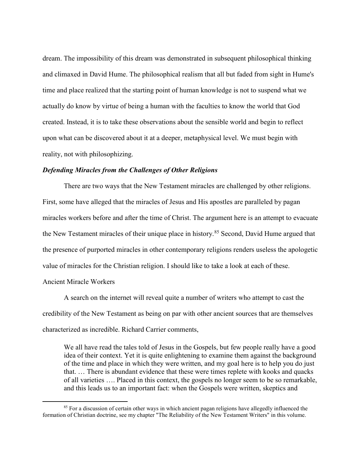dream. The impossibility of this dream was demonstrated in subsequent philosophical thinking and climaxed in David Hume. The philosophical realism that all but faded from sight in Hume's time and place realized that the starting point of human knowledge is not to suspend what we actually do know by virtue of being a human with the faculties to know the world that God created. Instead, it is to take these observations about the sensible world and begin to reflect upon what can be discovered about it at a deeper, metaphysical level. We must begin with reality, not with philosophizing.

## Defending Miracles from the Challenges of Other Religions

There are two ways that the New Testament miracles are challenged by other religions. First, some have alleged that the miracles of Jesus and His apostles are paralleled by pagan miracles workers before and after the time of Christ. The argument here is an attempt to evacuate the New Testament miracles of their unique place in history.<sup>85</sup> Second, David Hume argued that the presence of purported miracles in other contemporary religions renders useless the apologetic value of miracles for the Christian religion. I should like to take a look at each of these.

## Ancient Miracle Workers

 $\overline{a}$ 

A search on the internet will reveal quite a number of writers who attempt to cast the credibility of the New Testament as being on par with other ancient sources that are themselves characterized as incredible. Richard Carrier comments,

We all have read the tales told of Jesus in the Gospels, but few people really have a good idea of their context. Yet it is quite enlightening to examine them against the background of the time and place in which they were written, and my goal here is to help you do just that. … There is abundant evidence that these were times replete with kooks and quacks of all varieties …. Placed in this context, the gospels no longer seem to be so remarkable, and this leads us to an important fact: when the Gospels were written, skeptics and

<sup>&</sup>lt;sup>85</sup> For a discussion of certain other ways in which ancient pagan religions have allegedly influenced the formation of Christian doctrine, see my chapter "The Reliability of the New Testament Writers" in this volume.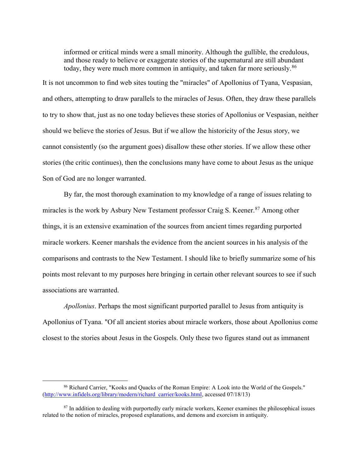informed or critical minds were a small minority. Although the gullible, the credulous, and those ready to believe or exaggerate stories of the supernatural are still abundant today, they were much more common in antiquity, and taken far more seriously.<sup>86</sup>

It is not uncommon to find web sites touting the "miracles" of Apollonius of Tyana, Vespasian, and others, attempting to draw parallels to the miracles of Jesus. Often, they draw these parallels to try to show that, just as no one today believes these stories of Apollonius or Vespasian, neither should we believe the stories of Jesus. But if we allow the historicity of the Jesus story, we cannot consistently (so the argument goes) disallow these other stories. If we allow these other stories (the critic continues), then the conclusions many have come to about Jesus as the unique Son of God are no longer warranted.

By far, the most thorough examination to my knowledge of a range of issues relating to miracles is the work by Asbury New Testament professor Craig S. Keener.<sup>87</sup> Among other things, it is an extensive examination of the sources from ancient times regarding purported miracle workers. Keener marshals the evidence from the ancient sources in his analysis of the comparisons and contrasts to the New Testament. I should like to briefly summarize some of his points most relevant to my purposes here bringing in certain other relevant sources to see if such associations are warranted.

Apollonius. Perhaps the most significant purported parallel to Jesus from antiquity is Apollonius of Tyana. "Of all ancient stories about miracle workers, those about Apollonius come closest to the stories about Jesus in the Gospels. Only these two figures stand out as immanent

<sup>86</sup> Richard Carrier, "Kooks and Quacks of the Roman Empire: A Look into the World of the Gospels." (http://www.infidels.org/library/modern/richard\_carrier/kooks.html, accessed 07/18/13)

<sup>&</sup>lt;sup>87</sup> In addition to dealing with purportedly early miracle workers, Keener examines the philosophical issues related to the notion of miracles, proposed explanations, and demons and exorcism in antiquity.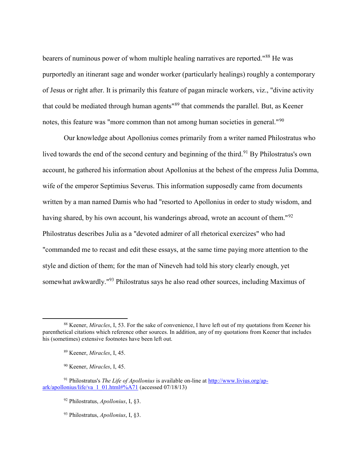bearers of numinous power of whom multiple healing narratives are reported."<sup>88</sup> He was purportedly an itinerant sage and wonder worker (particularly healings) roughly a contemporary of Jesus or right after. It is primarily this feature of pagan miracle workers, viz., "divine activity that could be mediated through human agents"<sup>89</sup> that commends the parallel. But, as Keener notes, this feature was "more common than not among human societies in general."<sup>90</sup>

Our knowledge about Apollonius comes primarily from a writer named Philostratus who lived towards the end of the second century and beginning of the third.<sup>91</sup> By Philostratus's own account, he gathered his information about Apollonius at the behest of the empress Julia Domma, wife of the emperor Septimius Severus. This information supposedly came from documents written by a man named Damis who had "resorted to Apollonius in order to study wisdom, and having shared, by his own account, his wanderings abroad, wrote an account of them."<sup>92</sup> Philostratus describes Julia as a "devoted admirer of all rhetorical exercizes" who had "commanded me to recast and edit these essays, at the same time paying more attention to the style and diction of them; for the man of Nineveh had told his story clearly enough, yet somewhat awkwardly."<sup>93</sup> Philostratus says he also read other sources, including Maximus of

<sup>&</sup>lt;sup>88</sup> Keener, *Miracles*, I, 53. For the sake of convenience, I have left out of my quotations from Keener his parenthetical citations which reference other sources. In addition, any of my quotations from Keener that includes his (sometimes) extensive footnotes have been left out.

<sup>89</sup> Keener, Miracles, I, 45.

<sup>&</sup>lt;sup>90</sup> Keener, *Miracles*, I, 45.

<sup>&</sup>lt;sup>91</sup> Philostratus's *The Life of Apollonius* is available on-line at http://www.livius.org/apark/apollonius/life/va\_1\_01.html#%A71 (accessed 07/18/13)

 $92$  Philostratus, *Apollonius*, I, §3.

<sup>93</sup> Philostratus, Apollonius, I, §3.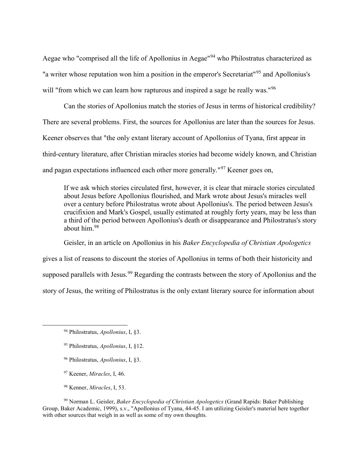Aegae who "comprised all the life of Apollonius in Aegae"<sup>94</sup> who Philostratus characterized as "a writer whose reputation won him a position in the emperor's Secretariat<sup>"95</sup> and Apollonius's will "from which we can learn how rapturous and inspired a sage he really was."<sup>96</sup>

Can the stories of Apollonius match the stories of Jesus in terms of historical credibility? There are several problems. First, the sources for Apollonius are later than the sources for Jesus. Keener observes that "the only extant literary account of Apollonius of Tyana, first appear in third-century literature, after Christian miracles stories had become widely known, and Christian and pagan expectations influenced each other more generally."<sup>97</sup> Keener goes on,

If we ask which stories circulated first, however, it is clear that miracle stories circulated about Jesus before Apollonius flourished, and Mark wrote about Jesus's miracles well over a century before Philostratus wrote about Apollonius's. The period between Jesus's crucifixion and Mark's Gospel, usually estimated at roughly forty years, may be less than a third of the period between Apollonius's death or disappearance and Philostratus's story about him.<sup>98</sup>

Geisler, in an article on Apollonius in his Baker Encyclopedia of Christian Apologetics gives a list of reasons to discount the stories of Apollonius in terms of both their historicity and supposed parallels with Jesus.<sup>99</sup> Regarding the contrasts between the story of Apollonius and the story of Jesus, the writing of Philostratus is the only extant literary source for information about

 $\overline{a}$ 

- <sup>96</sup> Philostratus, Apollonius, I, §3.
- <sup>97</sup> Keener, *Miracles*, I, 46.
- <sup>98</sup> Kenner, Miracles, I, 53.

<sup>99</sup> Norman L. Geisler, *Baker Encyclopedia of Christian Apologetics* (Grand Rapids: Baker Publishing Group, Baker Academic, 1999), s.v., "Apollonius of Tyana, 44-45. I am utilizing Geisler's material here together with other sources that weigh in as well as some of my own thoughts.

<sup>94</sup> Philostratus, Apollonius, I, §3.

<sup>95</sup> Philostratus, Apollonius, I, §12.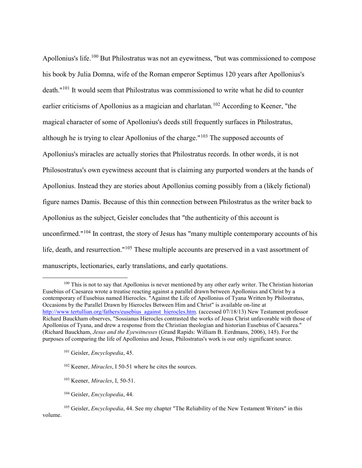Apollonius's life.<sup>100</sup> But Philostratus was not an eyewitness, "but was commissioned to compose his book by Julia Domna, wife of the Roman emperor Septimus 120 years after Apollonius's death."<sup>101</sup> It would seem that Philostratus was commissioned to write what he did to counter earlier criticisms of Apollonius as a magician and charlatan.<sup>102</sup> According to Keener, "the magical character of some of Apollonius's deeds still frequently surfaces in Philostratus, although he is trying to clear Apollonius of the charge."<sup>103</sup> The supposed accounts of Apollonius's miracles are actually stories that Philostratus records. In other words, it is not Philosostratus's own eyewitness account that is claiming any purported wonders at the hands of Apollonius. Instead they are stories about Apollonius coming possibly from a (likely fictional) figure names Damis. Because of this thin connection between Philostratus as the writer back to Apollonius as the subject, Geisler concludes that "the authenticity of this account is unconfirmed."<sup>104</sup> In contrast, the story of Jesus has "many multiple contemporary accounts of his life, death, and resurrection."<sup>105</sup> These multiple accounts are preserved in a vast assortment of manuscripts, lectionaries, early translations, and early quotations.

<sup>&</sup>lt;sup>100</sup> This is not to say that Apollonius is never mentioned by any other early writer. The Christian historian Eusebius of Caesarea wrote a treatise reacting against a parallel drawn between Apollonius and Christ by a contemporary of Eusebius named Hierocles. "Against the Life of Apollonius of Tyana Written by Philostratus, Occasions by the Parallel Drawn by Hierocles Between Him and Christ" is available on-line at http://www.tertullian.org/fathers/eusebius\_against\_hierocles.htm. (accessed 07/18/13) New Testament professor Richard Bauckham observes, "Sossianus Hierocles contrasted the works of Jesus Christ unfavorable with those of Apollonius of Tyana, and drew a response from the Christian theologian and historian Eusebius of Caesarea." (Richard Bauckham, Jesus and the Eyewitnesses (Grand Rapids: William B. Eerdmans, 2006), 145). For the purposes of comparing the life of Apollonius and Jesus, Philostratus's work is our only significant source.

<sup>101</sup> Geisler, Encyclopedia, 45.

<sup>&</sup>lt;sup>102</sup> Keener, *Miracles*, I 50-51 where he cites the sources.

<sup>103</sup> Keener, Miracles, I, 50-51.

<sup>&</sup>lt;sup>104</sup> Geisler, *Encyclopedia*, 44.

<sup>&</sup>lt;sup>105</sup> Geisler, *Encyclopedia*, 44. See my chapter "The Reliability of the New Testament Writers" in this volume.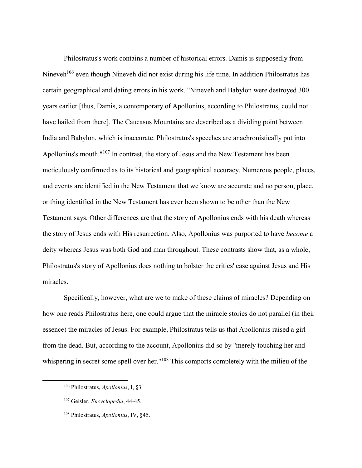Philostratus's work contains a number of historical errors. Damis is supposedly from Nineveh<sup>106</sup> even though Nineveh did not exist during his life time. In addition Philostratus has certain geographical and dating errors in his work. "Nineveh and Babylon were destroyed 300 years earlier [thus, Damis, a contemporary of Apollonius, according to Philostratus, could not have hailed from there]. The Caucasus Mountains are described as a dividing point between India and Babylon, which is inaccurate. Philostratus's speeches are anachronistically put into Apollonius's mouth."<sup>107</sup> In contrast, the story of Jesus and the New Testament has been meticulously confirmed as to its historical and geographical accuracy. Numerous people, places, and events are identified in the New Testament that we know are accurate and no person, place, or thing identified in the New Testament has ever been shown to be other than the New Testament says. Other differences are that the story of Apollonius ends with his death whereas the story of Jesus ends with His resurrection. Also, Apollonius was purported to have become a deity whereas Jesus was both God and man throughout. These contrasts show that, as a whole, Philostratus's story of Apollonius does nothing to bolster the critics' case against Jesus and His miracles.

Specifically, however, what are we to make of these claims of miracles? Depending on how one reads Philostratus here, one could argue that the miracle stories do not parallel (in their essence) the miracles of Jesus. For example, Philostratus tells us that Apollonius raised a girl from the dead. But, according to the account, Apollonius did so by "merely touching her and whispering in secret some spell over her."<sup>108</sup> This comports completely with the milieu of the

<sup>106</sup> Philostratus, Apollonius, I, §3.

<sup>&</sup>lt;sup>107</sup> Geisler, *Encyclopedia*, 44-45.

<sup>108</sup> Philostratus, Apollonius, IV, §45.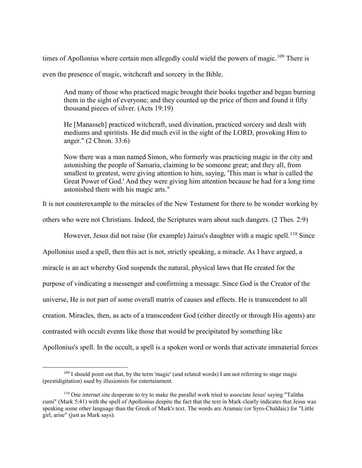times of Apollonius where certain men allegedly could wield the powers of magic.<sup>109</sup> There is

even the presence of magic, witchcraft and sorcery in the Bible.

And many of those who practiced magic brought their books together and began burning them in the sight of everyone; and they counted up the price of them and found it fifty thousand pieces of silver. (Acts 19:19)

He [Manasseh] practiced witchcraft, used divination, practiced sorcery and dealt with mediums and spiritists. He did much evil in the sight of the LORD, provoking Him to anger." (2 Chron. 33:6)

Now there was a man named Simon, who formerly was practicing magic in the city and astonishing the people of Samaria, claiming to be someone great; and they all, from smallest to greatest, were giving attention to him, saying, 'This man is what is called the Great Power of God.' And they were giving him attention because he had for a long time astonished them with his magic arts."

It is not counterexample to the miracles of the New Testament for there to be wonder working by

others who were not Christians. Indeed, the Scriptures warn about such dangers. (2 Thes. 2:9)

However, Jesus did not raise (for example) Jairus's daughter with a magic spell.<sup>110</sup> Since

Apollonius used a spell, then this act is not, strictly speaking, a miracle. As I have argued, a miracle is an act whereby God suspends the natural, physical laws that He created for the purpose of vindicating a messenger and confirming a message. Since God is the Creator of the universe, He is not part of some overall matrix of causes and effects. He is transcendent to all creation. Miracles, then, as acts of a transcendent God (either directly or through His agents) are contrasted with occult events like those that would be precipitated by something like Apollonius's spell. In the occult, a spell is a spoken word or words that activate immaterial forces

<sup>&</sup>lt;sup>109</sup> I should point out that, by the term 'magic' (and related words) I am not referring to stage magic (prestidigitation) used by illusionists for entertainment.

<sup>110</sup> One internet site desperate to try to make the parallel work tried to associate Jesus' saying "Talitha cumi" (Mark 5:41) with the spell of Apollonius despite the fact that the text in Mark clearly indicates that Jesus was speaking some other language than the Greek of Mark's text. The words are Aramaic (or Syro-Chaldaic) for "Little girl, arise" (just as Mark says).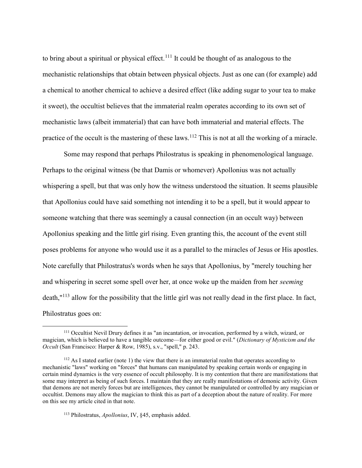to bring about a spiritual or physical effect.<sup>111</sup> It could be thought of as analogous to the mechanistic relationships that obtain between physical objects. Just as one can (for example) add a chemical to another chemical to achieve a desired effect (like adding sugar to your tea to make it sweet), the occultist believes that the immaterial realm operates according to its own set of mechanistic laws (albeit immaterial) that can have both immaterial and material effects. The practice of the occult is the mastering of these laws.<sup>112</sup> This is not at all the working of a miracle.

Some may respond that perhaps Philostratus is speaking in phenomenological language. Perhaps to the original witness (be that Damis or whomever) Apollonius was not actually whispering a spell, but that was only how the witness understood the situation. It seems plausible that Apollonius could have said something not intending it to be a spell, but it would appear to someone watching that there was seemingly a causal connection (in an occult way) between Apollonius speaking and the little girl rising. Even granting this, the account of the event still poses problems for anyone who would use it as a parallel to the miracles of Jesus or His apostles. Note carefully that Philostratus's words when he says that Apollonius, by "merely touching her and whispering in secret some spell over her, at once woke up the maiden from her seeming death,"<sup>113</sup> allow for the possibility that the little girl was not really dead in the first place. In fact, Philostratus goes on:

<sup>&</sup>lt;sup>111</sup> Occultist Nevil Drury defines it as "an incantation, or invocation, performed by a witch, wizard, or magician, which is believed to have a tangible outcome—for either good or evil." (Dictionary of Mysticism and the Occult (San Francisco: Harper & Row, 1985), s.v., "spell," p. 243.

 $112$  As I stated earlier (note 1) the view that there is an immaterial realm that operates according to mechanistic "laws" working on "forces" that humans can manipulated by speaking certain words or engaging in certain mind dynamics is the very essence of occult philosophy. It is my contention that there are manifestations that some may interpret as being of such forces. I maintain that they are really manifestations of demonic activity. Given that demons are not merely forces but are intelligences, they cannot be manipulated or controlled by any magician or occultist. Demons may allow the magician to think this as part of a deception about the nature of reality. For more on this see my article cited in that note.

<sup>113</sup> Philostratus, Apollonius, IV, §45, emphasis added.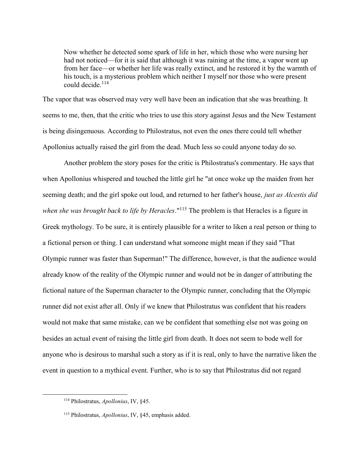Now whether he detected some spark of life in her, which those who were nursing her had not noticed—for it is said that although it was raining at the time, a vapor went up from her face—or whether her life was really extinct, and he restored it by the warmth of his touch, is a mysterious problem which neither I myself nor those who were present could decide.<sup>114</sup>

The vapor that was observed may very well have been an indication that she was breathing. It seems to me, then, that the critic who tries to use this story against Jesus and the New Testament is being disingenuous. According to Philostratus, not even the ones there could tell whether Apollonius actually raised the girl from the dead. Much less so could anyone today do so.

Another problem the story poses for the critic is Philostratus's commentary. He says that when Apollonius whispered and touched the little girl he "at once woke up the maiden from her seeming death; and the girl spoke out loud, and returned to her father's house, just as Alcestis did when she was brought back to life by Heracles."<sup>115</sup> The problem is that Heracles is a figure in Greek mythology. To be sure, it is entirely plausible for a writer to liken a real person or thing to a fictional person or thing. I can understand what someone might mean if they said "That Olympic runner was faster than Superman!" The difference, however, is that the audience would already know of the reality of the Olympic runner and would not be in danger of attributing the fictional nature of the Superman character to the Olympic runner, concluding that the Olympic runner did not exist after all. Only if we knew that Philostratus was confident that his readers would not make that same mistake, can we be confident that something else not was going on besides an actual event of raising the little girl from death. It does not seem to bode well for anyone who is desirous to marshal such a story as if it is real, only to have the narrative liken the event in question to a mythical event. Further, who is to say that Philostratus did not regard

<sup>&</sup>lt;sup>114</sup> Philostratus, Apollonius, IV, §45.

<sup>115</sup> Philostratus, Apollonius, IV, §45, emphasis added.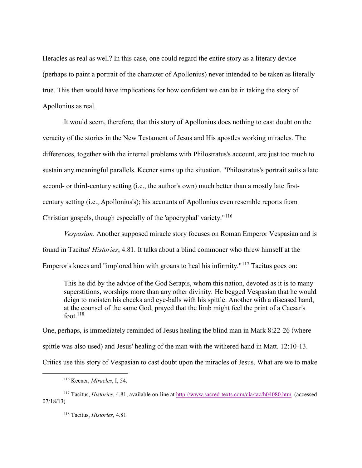Heracles as real as well? In this case, one could regard the entire story as a literary device (perhaps to paint a portrait of the character of Apollonius) never intended to be taken as literally true. This then would have implications for how confident we can be in taking the story of Apollonius as real.

It would seem, therefore, that this story of Apollonius does nothing to cast doubt on the veracity of the stories in the New Testament of Jesus and His apostles working miracles. The differences, together with the internal problems with Philostratus's account, are just too much to sustain any meaningful parallels. Keener sums up the situation. "Philostratus's portrait suits a late second- or third-century setting (i.e., the author's own) much better than a mostly late firstcentury setting (i.e., Apollonius's); his accounts of Apollonius even resemble reports from Christian gospels, though especially of the 'apocryphal' variety."<sup>116</sup>

Vespasian. Another supposed miracle story focuses on Roman Emperor Vespasian and is found in Tacitus' Histories, 4.81. It talks about a blind commoner who threw himself at the Emperor's knees and "implored him with groans to heal his infirmity."<sup>117</sup> Tacitus goes on:

This he did by the advice of the God Serapis, whom this nation, devoted as it is to many superstitions, worships more than any other divinity. He begged Vespasian that he would deign to moisten his cheeks and eye-balls with his spittle. Another with a diseased hand, at the counsel of the same God, prayed that the limb might feel the print of a Caesar's foot. $118$ 

One, perhaps, is immediately reminded of Jesus healing the blind man in Mark 8:22-26 (where spittle was also used) and Jesus' healing of the man with the withered hand in Matt. 12:10-13. Critics use this story of Vespasian to cast doubt upon the miracles of Jesus. What are we to make

<sup>116</sup> Keener, Miracles, I, 54.

<sup>117</sup> Tacitus, Histories, 4.81, available on-line at http://www.sacred-texts.com/cla/tac/h04080.htm. (accessed 07/18/13)

<sup>118</sup> Tacitus, Histories, 4.81.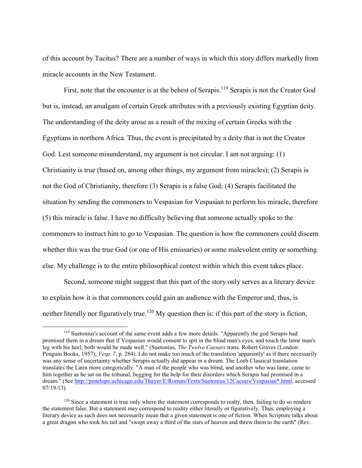of this account by Tacitus? There are a number of ways in which this story differs markedly from miracle accounts in the New Testament.

First, note that the encounter is at the behest of Serapis.<sup>119</sup> Serapis is not the Creator God but is, instead, an amalgam of certain Greek attributes with a previously existing Egyptian deity. The understanding of the deity arose as a result of the mixing of certain Greeks with the Egyptians in northern Africa. Thus, the event is precipitated by a deity that is not the Creator God. Lest someone misunderstand, my argument is not circular. I am not arguing: (1) Christianity is true (based on, among other things, my argument from miracles); (2) Serapis is not the God of Christianity, therefore (3) Serapis is a false God; (4) Serapis facilitated the situation by sending the commoners to Vespasian for Vespasian to perform his miracle, therefore (5) this miracle is false. I have no difficulty believing that someone actually spoke to the commoners to instruct him to go to Vespasian. The question is how the commoners could discern whether this was the true God (or one of His emissaries) or some malevolent entity or something else. My challenge is to the entire philosophical context within which this event takes place.

Second, someone might suggest that this part of the story only serves as a literary device to explain how it is that commoners could gain an audience with the Emperor and, thus, is neither literally nor figuratively true.<sup>120</sup> My question then is: if this part of the story is fiction,

<sup>&</sup>lt;sup>119</sup> Suetonius's account of the same event adds a few more details. "Apparently the god Serapis had promised them in a dream that if Vespasian would consent to spit in the blind man's eyes, and touch the lame man's leg with his heel, both would be made well." (Suetonius, The Twelve Caesars trans. Robert Graves (London: Penguin Books, 1957), Vesp. 7, p. 284). I do not make too much of the translation 'apparently' as if there necessarily was any sense of uncertainty whether Serapis actually did appear in a dream. The Loeb Classical translation translates the Latin more categorically. "A man of the people who was blind, and another who was lame, came to him together as he sat on the tribunal, begging for the help for their disorders which Serapis had promised in a dream." (See http://penelope.uchicago.edu/Thayer/E/Roman/Texts/Suetonius/12Caesars/Vespasian\*.html, accessed 07/19/13)

 $120$  Since a statement is true only where the statement corresponds to realty, then, failing to do so renders the statement false. But a statement may correspond to reality either literally or figuratively. Thus, employing a literary device as such does not necessarily mean that a given statement is one of fiction. When Scripture talks about a great dragon who took his tail and "swept away a third of the stars of heaven and threw them to the earth" (Rev.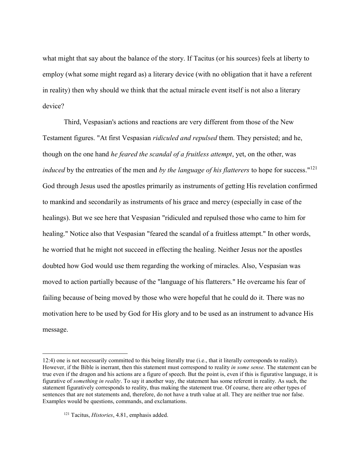what might that say about the balance of the story. If Tacitus (or his sources) feels at liberty to employ (what some might regard as) a literary device (with no obligation that it have a referent in reality) then why should we think that the actual miracle event itself is not also a literary device?

Third, Vespasian's actions and reactions are very different from those of the New Testament figures. "At first Vespasian ridiculed and repulsed them. They persisted; and he, though on the one hand *he feared the scandal of a fruitless attempt*, yet, on the other, was *induced* by the entreaties of the men and by the language of his flatterers to hope for success."<sup>121</sup> God through Jesus used the apostles primarily as instruments of getting His revelation confirmed to mankind and secondarily as instruments of his grace and mercy (especially in case of the healings). But we see here that Vespasian "ridiculed and repulsed those who came to him for healing." Notice also that Vespasian "feared the scandal of a fruitless attempt." In other words, he worried that he might not succeed in effecting the healing. Neither Jesus nor the apostles doubted how God would use them regarding the working of miracles. Also, Vespasian was moved to action partially because of the "language of his flatterers." He overcame his fear of failing because of being moved by those who were hopeful that he could do it. There was no motivation here to be used by God for His glory and to be used as an instrument to advance His message.

<sup>12:4)</sup> one is not necessarily committed to this being literally true (i.e., that it literally corresponds to reality). However, if the Bible is inerrant, then this statement must correspond to reality in some sense. The statement can be true even if the dragon and his actions are a figure of speech. But the point is, even if this is figurative language, it is figurative of something in reality. To say it another way, the statement has some referent in reality. As such, the statement figuratively corresponds to reality, thus making the statement true. Of course, there are other types of sentences that are not statements and, therefore, do not have a truth value at all. They are neither true nor false. Examples would be questions, commands, and exclamations.

<sup>&</sup>lt;sup>121</sup> Tacitus, *Histories*, 4.81, emphasis added.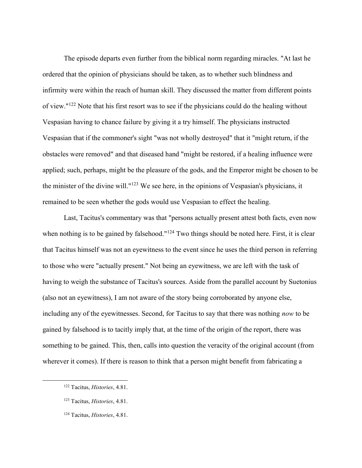The episode departs even further from the biblical norm regarding miracles. "At last he ordered that the opinion of physicians should be taken, as to whether such blindness and infirmity were within the reach of human skill. They discussed the matter from different points of view."<sup>122</sup> Note that his first resort was to see if the physicians could do the healing without Vespasian having to chance failure by giving it a try himself. The physicians instructed Vespasian that if the commoner's sight "was not wholly destroyed" that it "might return, if the obstacles were removed" and that diseased hand "might be restored, if a healing influence were applied; such, perhaps, might be the pleasure of the gods, and the Emperor might be chosen to be the minister of the divine will."<sup>123</sup> We see here, in the opinions of Vespasian's physicians, it remained to be seen whether the gods would use Vespasian to effect the healing.

Last, Tacitus's commentary was that "persons actually present attest both facts, even now when nothing is to be gained by falsehood."<sup>124</sup> Two things should be noted here. First, it is clear that Tacitus himself was not an eyewitness to the event since he uses the third person in referring to those who were "actually present." Not being an eyewitness, we are left with the task of having to weigh the substance of Tacitus's sources. Aside from the parallel account by Suetonius (also not an eyewitness), I am not aware of the story being corroborated by anyone else, including any of the eyewitnesses. Second, for Tacitus to say that there was nothing now to be gained by falsehood is to tacitly imply that, at the time of the origin of the report, there was something to be gained. This, then, calls into question the veracity of the original account (from wherever it comes). If there is reason to think that a person might benefit from fabricating a

<sup>122</sup> Tacitus, Histories, 4.81.

<sup>123</sup> Tacitus, Histories, 4.81.

<sup>124</sup> Tacitus, Histories, 4.81.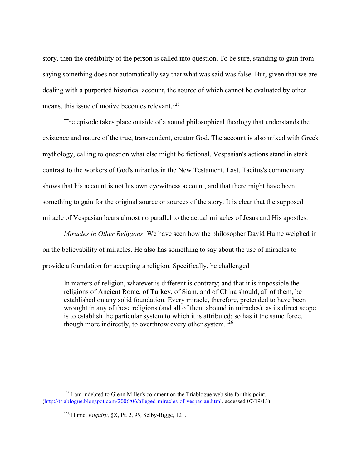story, then the credibility of the person is called into question. To be sure, standing to gain from saying something does not automatically say that what was said was false. But, given that we are dealing with a purported historical account, the source of which cannot be evaluated by other means, this issue of motive becomes relevant.<sup>125</sup>

The episode takes place outside of a sound philosophical theology that understands the existence and nature of the true, transcendent, creator God. The account is also mixed with Greek mythology, calling to question what else might be fictional. Vespasian's actions stand in stark contrast to the workers of God's miracles in the New Testament. Last, Tacitus's commentary shows that his account is not his own eyewitness account, and that there might have been something to gain for the original source or sources of the story. It is clear that the supposed miracle of Vespasian bears almost no parallel to the actual miracles of Jesus and His apostles.

Miracles in Other Religions. We have seen how the philosopher David Hume weighed in on the believability of miracles. He also has something to say about the use of miracles to provide a foundation for accepting a religion. Specifically, he challenged

In matters of religion, whatever is different is contrary; and that it is impossible the religions of Ancient Rome, of Turkey, of Siam, and of China should, all of them, be established on any solid foundation. Every miracle, therefore, pretended to have been wrought in any of these religions (and all of them abound in miracles), as its direct scope is to establish the particular system to which it is attributed; so has it the same force, though more indirectly, to overthrow every other system.<sup>126</sup>

<sup>&</sup>lt;sup>125</sup> I am indebted to Glenn Miller's comment on the Triablogue web site for this point. (http://triablogue.blogspot.com/2006/06/alleged-miracles-of-vespasian.html, accessed 07/19/13)

 $126$  Hume, *Enquiry*, §X, Pt. 2, 95, Selby-Bigge, 121.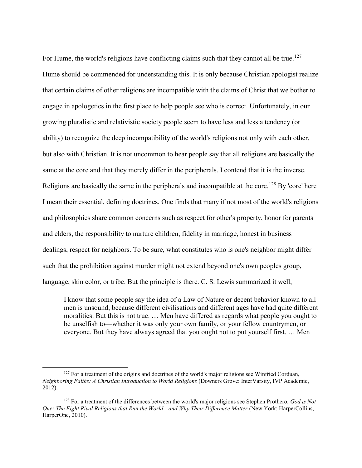For Hume, the world's religions have conflicting claims such that they cannot all be true.<sup>127</sup> Hume should be commended for understanding this. It is only because Christian apologist realize that certain claims of other religions are incompatible with the claims of Christ that we bother to engage in apologetics in the first place to help people see who is correct. Unfortunately, in our growing pluralistic and relativistic society people seem to have less and less a tendency (or ability) to recognize the deep incompatibility of the world's religions not only with each other, but also with Christian. It is not uncommon to hear people say that all religions are basically the same at the core and that they merely differ in the peripherals. I contend that it is the inverse. Religions are basically the same in the peripherals and incompatible at the core.<sup>128</sup> By 'core' here I mean their essential, defining doctrines. One finds that many if not most of the world's religions and philosophies share common concerns such as respect for other's property, honor for parents and elders, the responsibility to nurture children, fidelity in marriage, honest in business dealings, respect for neighbors. To be sure, what constitutes who is one's neighbor might differ such that the prohibition against murder might not extend beyond one's own peoples group, language, skin color, or tribe. But the principle is there. C. S. Lewis summarized it well,

I know that some people say the idea of a Law of Nature or decent behavior known to all men is unsound, because different civilisations and different ages have had quite different moralities. But this is not true. … Men have differed as regards what people you ought to be unselfish to—whether it was only your own family, or your fellow countrymen, or everyone. But they have always agreed that you ought not to put yourself first. … Men

<sup>&</sup>lt;sup>127</sup> For a treatment of the origins and doctrines of the world's major religions see Winfried Corduan, Neighboring Faiths: A Christian Introduction to World Religions (Downers Grove: InterVarsity, IVP Academic, 2012).

<sup>&</sup>lt;sup>128</sup> For a treatment of the differences between the world's major religions see Stephen Prothero, *God is Not* One: The Eight Rival Religions that Run the World—and Why Their Difference Matter (New York: HarperCollins, HarperOne, 2010).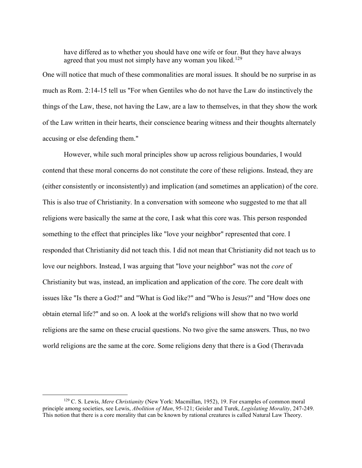have differed as to whether you should have one wife or four. But they have always agreed that you must not simply have any woman you liked.<sup>129</sup>

One will notice that much of these commonalities are moral issues. It should be no surprise in as much as Rom. 2:14-15 tell us "For when Gentiles who do not have the Law do instinctively the things of the Law, these, not having the Law, are a law to themselves, in that they show the work of the Law written in their hearts, their conscience bearing witness and their thoughts alternately accusing or else defending them."

However, while such moral principles show up across religious boundaries, I would contend that these moral concerns do not constitute the core of these religions. Instead, they are (either consistently or inconsistently) and implication (and sometimes an application) of the core. This is also true of Christianity. In a conversation with someone who suggested to me that all religions were basically the same at the core, I ask what this core was. This person responded something to the effect that principles like "love your neighbor" represented that core. I responded that Christianity did not teach this. I did not mean that Christianity did not teach us to love our neighbors. Instead, I was arguing that "love your neighbor" was not the *core* of Christianity but was, instead, an implication and application of the core. The core dealt with issues like "Is there a God?" and "What is God like?" and "Who is Jesus?" and "How does one obtain eternal life?" and so on. A look at the world's religions will show that no two world religions are the same on these crucial questions. No two give the same answers. Thus, no two world religions are the same at the core. Some religions deny that there is a God (Theravada

 $129$  C. S. Lewis, Mere Christianity (New York: Macmillan, 1952), 19. For examples of common moral principle among societies, see Lewis, Abolition of Man, 95-121; Geisler and Turek, Legislating Morality, 247-249. This notion that there is a core morality that can be known by rational creatures is called Natural Law Theory.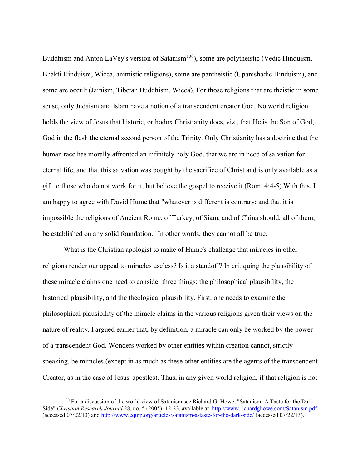Buddhism and Anton LaVey's version of Satanism<sup>130</sup>), some are polytheistic (Vedic Hinduism, Bhakti Hinduism, Wicca, animistic religions), some are pantheistic (Upanishadic Hinduism), and some are occult (Jainism, Tibetan Buddhism, Wicca). For those religions that are theistic in some sense, only Judaism and Islam have a notion of a transcendent creator God. No world religion holds the view of Jesus that historic, orthodox Christianity does, viz., that He is the Son of God, God in the flesh the eternal second person of the Trinity. Only Christianity has a doctrine that the human race has morally affronted an infinitely holy God, that we are in need of salvation for eternal life, and that this salvation was bought by the sacrifice of Christ and is only available as a gift to those who do not work for it, but believe the gospel to receive it (Rom. 4:4-5).With this, I am happy to agree with David Hume that "whatever is different is contrary; and that it is impossible the religions of Ancient Rome, of Turkey, of Siam, and of China should, all of them, be established on any solid foundation." In other words, they cannot all be true.

What is the Christian apologist to make of Hume's challenge that miracles in other religions render our appeal to miracles useless? Is it a standoff? In critiquing the plausibility of these miracle claims one need to consider three things: the philosophical plausibility, the historical plausibility, and the theological plausibility. First, one needs to examine the philosophical plausibility of the miracle claims in the various religions given their views on the nature of reality. I argued earlier that, by definition, a miracle can only be worked by the power of a transcendent God. Wonders worked by other entities within creation cannot, strictly speaking, be miracles (except in as much as these other entities are the agents of the transcendent Creator, as in the case of Jesus' apostles). Thus, in any given world religion, if that religion is not

<sup>&</sup>lt;sup>130</sup> For a discussion of the world view of Satanism see Richard G. Howe, "Satanism: A Taste for the Dark Side" Christian Research Journal 28, no. 5 (2005): 12-23, available at http://www.richardghowe.com/Satanism.pdf (accessed 07/22/13) and http://www.equip.org/articles/satanism-a-taste-for-the-dark-side/ (accessed 07/22/13).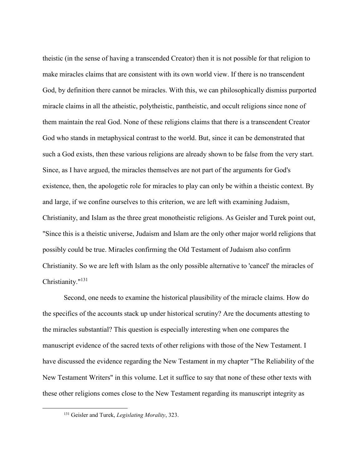theistic (in the sense of having a transcended Creator) then it is not possible for that religion to make miracles claims that are consistent with its own world view. If there is no transcendent God, by definition there cannot be miracles. With this, we can philosophically dismiss purported miracle claims in all the atheistic, polytheistic, pantheistic, and occult religions since none of them maintain the real God. None of these religions claims that there is a transcendent Creator God who stands in metaphysical contrast to the world. But, since it can be demonstrated that such a God exists, then these various religions are already shown to be false from the very start. Since, as I have argued, the miracles themselves are not part of the arguments for God's existence, then, the apologetic role for miracles to play can only be within a theistic context. By and large, if we confine ourselves to this criterion, we are left with examining Judaism, Christianity, and Islam as the three great monotheistic religions. As Geisler and Turek point out, "Since this is a theistic universe, Judaism and Islam are the only other major world religions that possibly could be true. Miracles confirming the Old Testament of Judaism also confirm Christianity. So we are left with Islam as the only possible alternative to 'cancel' the miracles of Christianity."<sup>131</sup>

Second, one needs to examine the historical plausibility of the miracle claims. How do the specifics of the accounts stack up under historical scrutiny? Are the documents attesting to the miracles substantial? This question is especially interesting when one compares the manuscript evidence of the sacred texts of other religions with those of the New Testament. I have discussed the evidence regarding the New Testament in my chapter "The Reliability of the New Testament Writers" in this volume. Let it suffice to say that none of these other texts with these other religions comes close to the New Testament regarding its manuscript integrity as

<sup>&</sup>lt;sup>131</sup> Geisler and Turek, *Legislating Morality*, 323.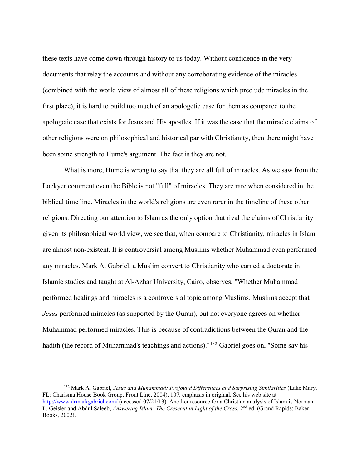these texts have come down through history to us today. Without confidence in the very documents that relay the accounts and without any corroborating evidence of the miracles (combined with the world view of almost all of these religions which preclude miracles in the first place), it is hard to build too much of an apologetic case for them as compared to the apologetic case that exists for Jesus and His apostles. If it was the case that the miracle claims of other religions were on philosophical and historical par with Christianity, then there might have been some strength to Hume's argument. The fact is they are not.

What is more, Hume is wrong to say that they are all full of miracles. As we saw from the Lockyer comment even the Bible is not "full" of miracles. They are rare when considered in the biblical time line. Miracles in the world's religions are even rarer in the timeline of these other religions. Directing our attention to Islam as the only option that rival the claims of Christianity given its philosophical world view, we see that, when compare to Christianity, miracles in Islam are almost non-existent. It is controversial among Muslims whether Muhammad even performed any miracles. Mark A. Gabriel, a Muslim convert to Christianity who earned a doctorate in Islamic studies and taught at Al-Azhar University, Cairo, observes, "Whether Muhammad performed healings and miracles is a controversial topic among Muslims. Muslims accept that Jesus performed miracles (as supported by the Quran), but not everyone agrees on whether Muhammad performed miracles. This is because of contradictions between the Quran and the hadith (the record of Muhammad's teachings and actions)."<sup>132</sup> Gabriel goes on, "Some say his

<sup>&</sup>lt;sup>132</sup> Mark A. Gabriel, Jesus and Muhammad: Profound Differences and Surprising Similarities (Lake Mary, FL: Charisma House Book Group, Front Line, 2004), 107, emphasis in original. See his web site at http://www.drmarkgabriel.com/ (accessed 07/21/13). Another resource for a Christian analysis of Islam is Norman L. Geisler and Abdul Saleeb, Answering Islam: The Crescent in Light of the Cross, 2<sup>nd</sup> ed. (Grand Rapids: Baker Books, 2002).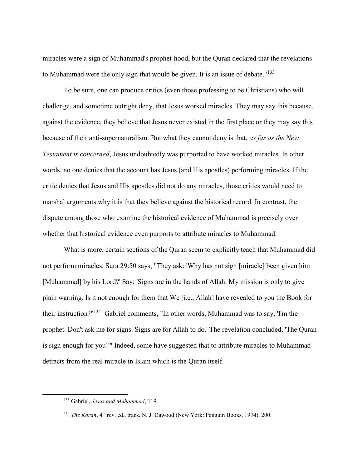miracles were a sign of Muhammad's prophet-hood, but the Quran declared that the revelations to Muhammad were the only sign that would be given. It is an issue of debate."<sup>133</sup>

To be sure, one can produce critics (even those professing to be Christians) who will challenge, and sometime outright deny, that Jesus worked miracles. They may say this because, against the evidence, they believe that Jesus never existed in the first place or they may say this because of their anti-supernaturalism. But what they cannot deny is that, as far as the New Testament is concerned, Jesus undoubtedly was purported to have worked miracles. In other words, no one denies that the account has Jesus (and His apostles) performing miracles. If the critic denies that Jesus and His apostles did not do any miracles, those critics would need to marshal arguments why it is that they believe against the historical record. In contrast, the dispute among those who examine the historical evidence of Muhammad is precisely over whether that historical evidence even purports to attribute miracles to Muhammad.

What is more, certain sections of the Quran seem to explicitly teach that Muhammad did not perform miracles. Sura 29:50 says, "They ask: 'Why has not sign [miracle] been given him [Muhammad] by his Lord?' Say: 'Signs are in the hands of Allah. My mission is only to give plain warning. Is it not enough for them that We [i.e., Allah] have revealed to you the Book for their instruction?"<sup>134</sup> Gabriel comments, "In other words, Muhammad was to say, 'I'm the prophet. Don't ask me for signs. Signs are for Allah to do.' The revelation concluded, 'The Quran is sign enough for you!'" Indeed, some have suggested that to attribute miracles to Muhammad detracts from the real miracle in Islam which is the Quran itself.

<sup>&</sup>lt;sup>133</sup> Gabriel, *Jesus and Muhammad*, 119.

<sup>&</sup>lt;sup>134</sup> The Koran, 4<sup>th</sup> rev. ed., trans. N. J. Dawood (New York: Penguin Books, 1974), 200.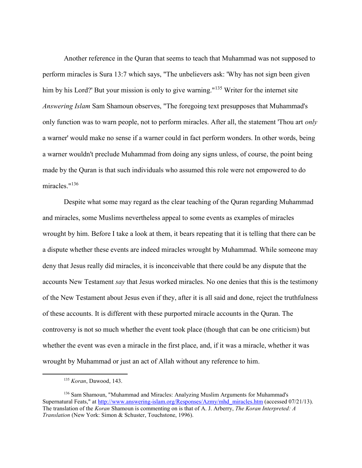Another reference in the Quran that seems to teach that Muhammad was not supposed to perform miracles is Sura 13:7 which says, "The unbelievers ask: 'Why has not sign been given him by his Lord?' But your mission is only to give warning."<sup>135</sup> Writer for the internet site Answering Islam Sam Shamoun observes, "The foregoing text presupposes that Muhammad's only function was to warn people, not to perform miracles. After all, the statement 'Thou art *only* a warner' would make no sense if a warner could in fact perform wonders. In other words, being a warner wouldn't preclude Muhammad from doing any signs unless, of course, the point being made by the Quran is that such individuals who assumed this role were not empowered to do miracles."<sup>136</sup>

Despite what some may regard as the clear teaching of the Quran regarding Muhammad and miracles, some Muslims nevertheless appeal to some events as examples of miracles wrought by him. Before I take a look at them, it bears repeating that it is telling that there can be a dispute whether these events are indeed miracles wrought by Muhammad. While someone may deny that Jesus really did miracles, it is inconceivable that there could be any dispute that the accounts New Testament say that Jesus worked miracles. No one denies that this is the testimony of the New Testament about Jesus even if they, after it is all said and done, reject the truthfulness of these accounts. It is different with these purported miracle accounts in the Quran. The controversy is not so much whether the event took place (though that can be one criticism) but whether the event was even a miracle in the first place, and, if it was a miracle, whether it was wrought by Muhammad or just an act of Allah without any reference to him.

<sup>135</sup> Koran, Dawood, 143.

<sup>136</sup> Sam Shamoun, "Muhammad and Miracles: Analyzing Muslim Arguments for Muhammad's Supernatural Feats," at http://www.answering-islam.org/Responses/Azmy/mhd\_miracles.htm (accessed 07/21/13). The translation of the Koran Shamoun is commenting on is that of A. J. Arberry, The Koran Interpreted: A Translation (New York: Simon & Schuster, Touchstone, 1996).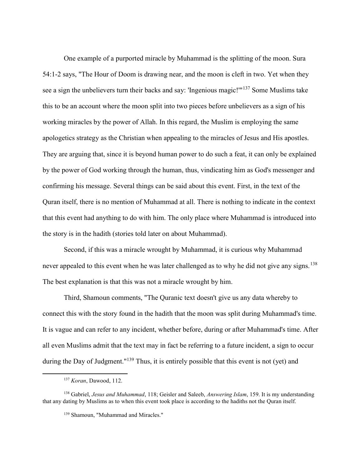One example of a purported miracle by Muhammad is the splitting of the moon. Sura 54:1-2 says, "The Hour of Doom is drawing near, and the moon is cleft in two. Yet when they see a sign the unbelievers turn their backs and say: 'Ingenious magic!'"<sup>137</sup> Some Muslims take this to be an account where the moon split into two pieces before unbelievers as a sign of his working miracles by the power of Allah. In this regard, the Muslim is employing the same apologetics strategy as the Christian when appealing to the miracles of Jesus and His apostles. They are arguing that, since it is beyond human power to do such a feat, it can only be explained by the power of God working through the human, thus, vindicating him as God's messenger and confirming his message. Several things can be said about this event. First, in the text of the Quran itself, there is no mention of Muhammad at all. There is nothing to indicate in the context that this event had anything to do with him. The only place where Muhammad is introduced into the story is in the hadith (stories told later on about Muhammad).

Second, if this was a miracle wrought by Muhammad, it is curious why Muhammad never appealed to this event when he was later challenged as to why he did not give any signs.<sup>138</sup> The best explanation is that this was not a miracle wrought by him.

Third, Shamoun comments, "The Quranic text doesn't give us any data whereby to connect this with the story found in the hadith that the moon was split during Muhammad's time. It is vague and can refer to any incident, whether before, during or after Muhammad's time. After all even Muslims admit that the text may in fact be referring to a future incident, a sign to occur during the Day of Judgment."<sup>139</sup> Thus, it is entirely possible that this event is not (yet) and

<sup>137</sup> Koran, Dawood, 112.

<sup>&</sup>lt;sup>138</sup> Gabriel, *Jesus and Muhammad*, 118; Geisler and Saleeb, *Answering Islam*, 159. It is my understanding that any dating by Muslims as to when this event took place is according to the hadiths not the Quran itself.

<sup>139</sup> Shamoun, "Muhammad and Miracles."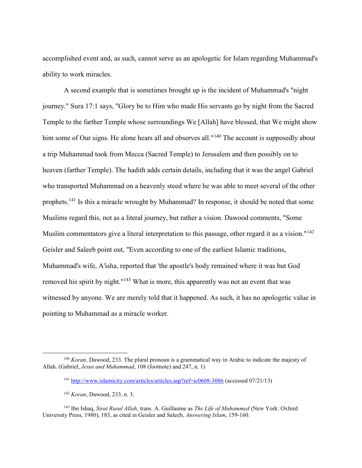accomplished event and, as such, cannot serve as an apologetic for Islam regarding Muhammad's ability to work miracles.

A second example that is sometimes brought up is the incident of Muhammad's "night journey." Sura 17:1 says, "Glory be to Him who made His servants go by night from the Sacred Temple to the farther Temple whose surroundings We [Allah] have blessed, that We might show him some of Our signs. He alone hears all and observes all."<sup>140</sup> The account is supposedly about a trip Muhammad took from Mecca (Sacred Temple) to Jerusalem and then possibly on to heaven (farther Temple). The hadith adds certain details, including that it was the angel Gabriel who transported Muhammad on a heavenly steed where he was able to meet several of the other prophets.<sup>141</sup> Is this a miracle wrought by Muhammad? In response, it should be noted that some Muslims regard this, not as a literal journey, but rather a vision. Dawood comments, "Some Muslim commentators give a literal interpretation to this passage, other regard it as a vision."<sup>142</sup> Geisler and Saleeb point out, "Even according to one of the earliest Islamic traditions, Muhammad's wife, A'isha, reported that 'the apostle's body remained where it was but God removed his spirit by night."<sup>143</sup> What is more, this apparently was not an event that was witnessed by anyone. We are merely told that it happened. As such, it has no apologetic value in pointing to Muhammad as a miracle worker.

 $140$  Koran, Dawood, 233. The plural pronoun is a grammatical way in Arabic to indicate the majesty of Allah. (Gabriel, Jesus and Muhammad, 108 (footnote) and 247, n. 1)

<sup>141</sup> http://www.islamicity.com/articles/articles.asp?ref=ic0608-3086 (accessed 07/21/13)

<sup>142</sup> Koran, Dawood, 233, n. 3.

<sup>&</sup>lt;sup>143</sup> Ibn Ishaq, Sirat Rasul Allah, trans. A. Guillaume as *The Life of Muhammed* (New York: Oxford University Press, 1980), 183, as cited in Geisler and Saleeb, Answering Islam, 159-160.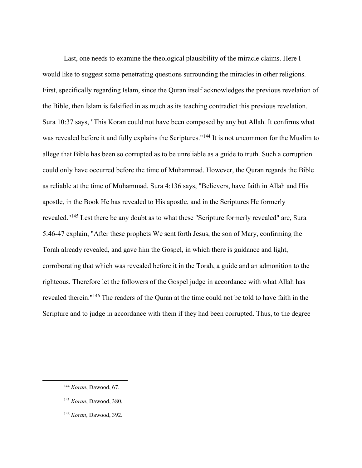Last, one needs to examine the theological plausibility of the miracle claims. Here I would like to suggest some penetrating questions surrounding the miracles in other religions. First, specifically regarding Islam, since the Quran itself acknowledges the previous revelation of the Bible, then Islam is falsified in as much as its teaching contradict this previous revelation. Sura 10:37 says, "This Koran could not have been composed by any but Allah. It confirms what was revealed before it and fully explains the Scriptures."<sup>144</sup> It is not uncommon for the Muslim to allege that Bible has been so corrupted as to be unreliable as a guide to truth. Such a corruption could only have occurred before the time of Muhammad. However, the Quran regards the Bible as reliable at the time of Muhammad. Sura 4:136 says, "Believers, have faith in Allah and His apostle, in the Book He has revealed to His apostle, and in the Scriptures He formerly revealed."<sup>145</sup> Lest there be any doubt as to what these "Scripture formerly revealed" are, Sura 5:46-47 explain, "After these prophets We sent forth Jesus, the son of Mary, confirming the Torah already revealed, and gave him the Gospel, in which there is guidance and light, corroborating that which was revealed before it in the Torah, a guide and an admonition to the righteous. Therefore let the followers of the Gospel judge in accordance with what Allah has revealed therein."<sup>146</sup> The readers of the Quran at the time could not be told to have faith in the Scripture and to judge in accordance with them if they had been corrupted. Thus, to the degree

 $\overline{a}$ 

<sup>146</sup> Koran, Dawood, 392.

<sup>&</sup>lt;sup>144</sup> Koran, Dawood, 67.

<sup>&</sup>lt;sup>145</sup> Koran, Dawood, 380.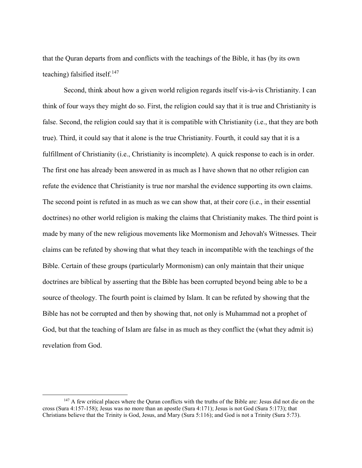that the Quran departs from and conflicts with the teachings of the Bible, it has (by its own teaching) falsified itself. $147$ 

Second, think about how a given world religion regards itself vis-à-vis Christianity. I can think of four ways they might do so. First, the religion could say that it is true and Christianity is false. Second, the religion could say that it is compatible with Christianity (i.e., that they are both true). Third, it could say that it alone is the true Christianity. Fourth, it could say that it is a fulfillment of Christianity (i.e., Christianity is incomplete). A quick response to each is in order. The first one has already been answered in as much as I have shown that no other religion can refute the evidence that Christianity is true nor marshal the evidence supporting its own claims. The second point is refuted in as much as we can show that, at their core (i.e., in their essential doctrines) no other world religion is making the claims that Christianity makes. The third point is made by many of the new religious movements like Mormonism and Jehovah's Witnesses. Their claims can be refuted by showing that what they teach in incompatible with the teachings of the Bible. Certain of these groups (particularly Mormonism) can only maintain that their unique doctrines are biblical by asserting that the Bible has been corrupted beyond being able to be a source of theology. The fourth point is claimed by Islam. It can be refuted by showing that the Bible has not be corrupted and then by showing that, not only is Muhammad not a prophet of God, but that the teaching of Islam are false in as much as they conflict the (what they admit is) revelation from God.

<sup>&</sup>lt;sup>147</sup> A few critical places where the Quran conflicts with the truths of the Bible are: Jesus did not die on the cross (Sura 4:157-158); Jesus was no more than an apostle (Sura 4:171); Jesus is not God (Sura 5:173); that Christians believe that the Trinity is God, Jesus, and Mary (Sura 5:116); and God is not a Trinity (Sura 5:73).